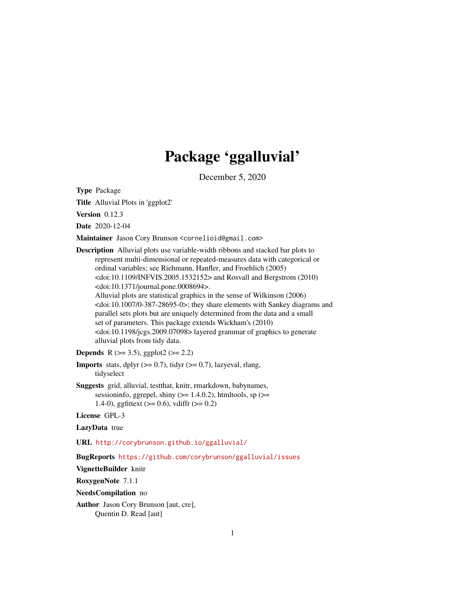# Package 'ggalluvial'

December 5, 2020

<span id="page-0-0"></span>Type Package

Title Alluvial Plots in 'ggplot2'

Version 0.12.3

Date 2020-12-04

Maintainer Jason Cory Brunson <cornelioid@gmail.com>

Description Alluvial plots use variable-width ribbons and stacked bar plots to represent multi-dimensional or repeated-measures data with categorical or ordinal variables; see Riehmann, Hanfler, and Froehlich (2005)  $\langle \text{doi:10.1109/INFVIS}.2005.1532152 \rangle$  and Rosvall and Bergstrom (2010) <doi:10.1371/journal.pone.0008694>. Alluvial plots are statistical graphics in the sense of Wilkinson (2006)  $\langle \text{doi:10.1007/0-387-28695-0}\rangle$ ; they share elements with Sankey diagrams and parallel sets plots but are uniquely determined from the data and a small set of parameters. This package extends Wickham's (2010) <doi:10.1198/jcgs.2009.07098> layered grammar of graphics to generate alluvial plots from tidy data.

**Depends** R ( $>= 3.5$ ), ggplot2 ( $>= 2.2$ )

**Imports** stats, dplyr  $(>= 0.7)$ , tidyr  $(>= 0.7)$ , lazyeval, rlang, tidyselect

Suggests grid, alluvial, testthat, knitr, rmarkdown, babynames, sessioninfo, ggrepel, shiny  $(>= 1.4.0.2)$ , htmltools, sp  $(>=$ 1.4-0), ggfittext ( $> = 0.6$ ), vdiffr ( $>= 0.2$ )

License GPL-3

LazyData true

URL <http://corybrunson.github.io/ggalluvial/>

BugReports <https://github.com/corybrunson/ggalluvial/issues>

VignetteBuilder knitr

RoxygenNote 7.1.1

NeedsCompilation no

Author Jason Cory Brunson [aut, cre], Quentin D. Read [aut]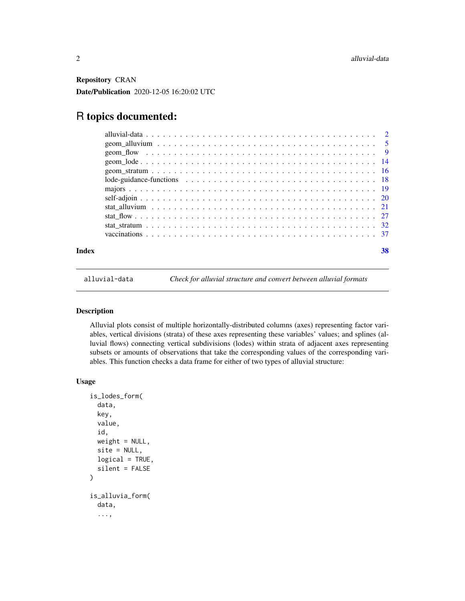<span id="page-1-0"></span>Repository CRAN Date/Publication 2020-12-05 16:20:02 UTC

# R topics documented:

| Index | 38 |
|-------|----|

<span id="page-1-1"></span>alluvial-data *Check for alluvial structure and convert between alluvial formats*

# <span id="page-1-2"></span>Description

Alluvial plots consist of multiple horizontally-distributed columns (axes) representing factor variables, vertical divisions (strata) of these axes representing these variables' values; and splines (alluvial flows) connecting vertical subdivisions (lodes) within strata of adjacent axes representing subsets or amounts of observations that take the corresponding values of the corresponding variables. This function checks a data frame for either of two types of alluvial structure:

#### Usage

```
is_lodes_form(
  data,
  key,
  value,
  id,
 weight = NULL,site = NULL,
 logical = TRUE,
  silent = FALSE
)
is_alluvia_form(
  data,
  ...,
```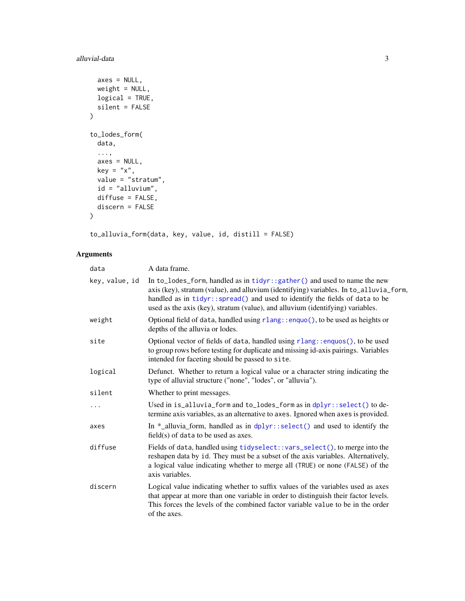# <span id="page-2-0"></span>alluvial-data 3

```
axes = NULL,weight = NULL,
 logical = TRUE,
 silent = FALSE
\mathcal{L}to_lodes_form(
 data,
 ...,
 axes = NULL,key = "x",value = "stratum",
 id = "alluvium",
 diffuse = FALSE,
 discern = FALSE
)
```
to\_alluvia\_form(data, key, value, id, distill = FALSE)

# Arguments

| data           | A data frame.                                                                                                                                                                                                                                                                                                                            |
|----------------|------------------------------------------------------------------------------------------------------------------------------------------------------------------------------------------------------------------------------------------------------------------------------------------------------------------------------------------|
| key, value, id | In to_lodes_form, handled as in $tidyr$ : :gather() and used to name the new<br>axis (key), stratum (value), and alluvium (identifying) variables. In to_alluvia_form,<br>handled as in tidyr:: spread() and used to identify the fields of data to be<br>used as the axis (key), stratum (value), and alluvium (identifying) variables. |
| weight         | Optional field of data, handled using rlang::enquo(), to be used as heights or<br>depths of the alluvia or lodes.                                                                                                                                                                                                                        |
| site           | Optional vector of fields of data, handled using rlang::enquos(), to be used<br>to group rows before testing for duplicate and missing id-axis pairings. Variables<br>intended for faceting should be passed to site.                                                                                                                    |
| logical        | Defunct. Whether to return a logical value or a character string indicating the<br>type of alluvial structure ("none", "lodes", or "alluvia").                                                                                                                                                                                           |
| silent         | Whether to print messages.                                                                                                                                                                                                                                                                                                               |
| .              | Used in is_alluvia_form and to_lodes_form as in $d$ plyr::select() to de-<br>termine axis variables, as an alternative to axes. Ignored when axes is provided.                                                                                                                                                                           |
| axes           | In $*$ _alluvia_form, handled as in $d$ plyr::select() and used to identify the<br>$field(s)$ of data to be used as axes.                                                                                                                                                                                                                |
| diffuse        | Fields of data, handled using tidyselect::vars_select(), to merge into the<br>reshapen data by id. They must be a subset of the axis variables. Alternatively,<br>a logical value indicating whether to merge all (TRUE) or none (FALSE) of the<br>axis variables.                                                                       |
| discern        | Logical value indicating whether to suffix values of the variables used as axes<br>that appear at more than one variable in order to distinguish their factor levels.<br>This forces the levels of the combined factor variable value to be in the order<br>of the axes.                                                                 |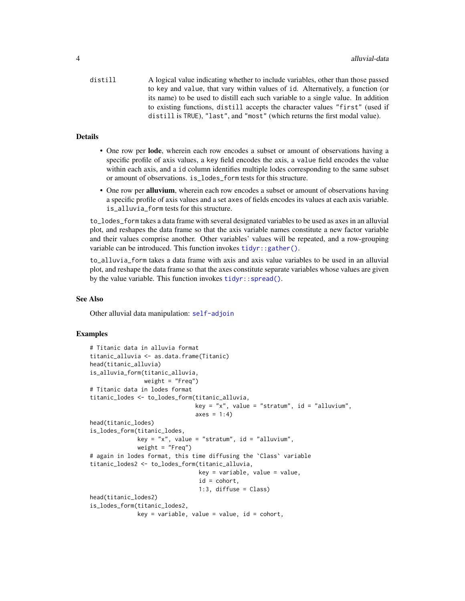<span id="page-3-0"></span>distill A logical value indicating whether to include variables, other than those passed to key and value, that vary within values of id. Alternatively, a function (or its name) to be used to distill each such variable to a single value. In addition to existing functions, distill accepts the character values "first" (used if distill is TRUE), "last", and "most" (which returns the first modal value).

# Details

- One row per lode, wherein each row encodes a subset or amount of observations having a specific profile of axis values, a key field encodes the axis, a value field encodes the value within each axis, and a id column identifies multiple lodes corresponding to the same subset or amount of observations. is\_lodes\_form tests for this structure.
- One row per alluvium, wherein each row encodes a subset or amount of observations having a specific profile of axis values and a set axes of fields encodes its values at each axis variable. is\_alluvia\_form tests for this structure.

to\_lodes\_form takes a data frame with several designated variables to be used as axes in an alluvial plot, and reshapes the data frame so that the axis variable names constitute a new factor variable and their values comprise another. Other variables' values will be repeated, and a row-grouping variable can be introduced. This function invokes tidyr:: gather().

to\_alluvia\_form takes a data frame with axis and axis value variables to be used in an alluvial plot, and reshape the data frame so that the axes constitute separate variables whose values are given by the value variable. This function invokes tidyr:: spread().

# See Also

Other alluvial data manipulation: [self-adjoin](#page-19-1)

#### Examples

```
# Titanic data in alluvia format
titanic_alluvia <- as.data.frame(Titanic)
head(titanic_alluvia)
is_alluvia_form(titanic_alluvia,
               weight = "Freq")# Titanic data in lodes format
titanic_lodes <- to_lodes_form(titanic_alluvia,
                               key = "x", value = "stratum", id = "alluvium",axes = 1:4)
head(titanic_lodes)
is_lodes_form(titanic_lodes,
             key = "x", value = "stratum", id = "alluvium",weight = "Freq")
# again in lodes format, this time diffusing the `Class` variable
titanic_lodes2 <- to_lodes_form(titanic_alluvia,
                                key = variable, value = value,
                                id = cohort,
                                1:3, diffuse = Class)
head(titanic_lodes2)
is_lodes_form(titanic_lodes2,
              key = variable, value = value, id = cohort,
```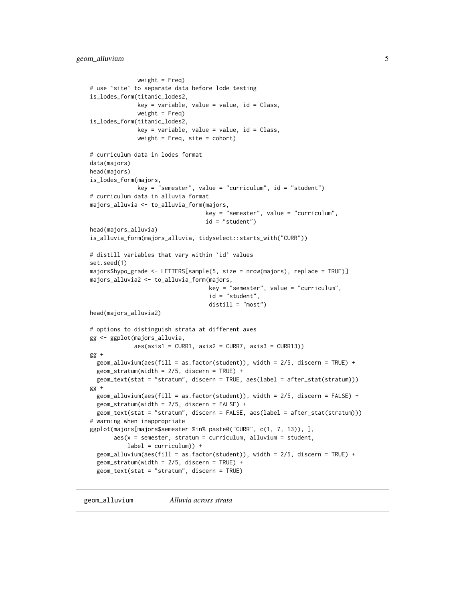```
weight = Freq)
# use `site` to separate data before lode testing
is_lodes_form(titanic_lodes2,
              key = variable, value = value, id = Class,weight = Freq)is_lodes_form(titanic_lodes2,
              key = variable, value = value, id = Class,weight = Freq, site = cohort)
# curriculum data in lodes format
data(majors)
head(majors)
is_lodes_form(majors,
              key = "semester", value = "curriculum", id = "student")
# curriculum data in alluvia format
majors_alluvia <- to_alluvia_form(majors,
                                  key = "semester", value = "curriculum",
                                  id = "student")
head(majors_alluvia)
is_alluvia_form(majors_alluvia, tidyselect::starts_with("CURR"))
# distill variables that vary within `id` values
set.seed(1)
majors$hypo_grade <- LETTERS[sample(5, size = nrow(majors), replace = TRUE)]
majors_alluvia2 <- to_alluvia_form(majors,
                                   key = "semester", value = "curriculum",
                                   id = "student",
                                   distill = "most")head(majors_alluvia2)
# options to distinguish strata at different axes
gg <- ggplot(majors_alluvia,
             aes(axis1 = CURR1, axis2 = CURR7, axis3 = CURR13))gg +geom_alluvium(aes(fill = as.factor(student)), width = 2/5, discern = TRUE) +
  geom_stratum(width = 2/5, discern = TRUE) +
  geom_text(stat = "stratum", discern = TRUE, aes(label = after_stat(stratum)))
gg +
  geom_alluvium(aes(fill = as.factor(student)), width = 2/5, discern = FALSE) +
  geom\_stratum(width = 2/5, discern = FALSE) +geom_text(stat = "stratum", discern = FALSE, aes(label = after_stat(stratum)))
# warning when inappropriate
ggplot(majors[majors$semester %in% paste0("CURR", c(1, 7, 13)), ],
       aes(x = semester, stratum = curriculum, alluvium = student,label = currentculum) +geom_alluvium(aes(fill = as.factor(student)), width = 2/5, discern = TRUE) +
  geom\_stratum(width = 2/5, discern = TRUE) +geom_text(stat = "stratum", discern = TRUE)
```
<span id="page-4-1"></span>geom\_alluvium *Alluvia across strata*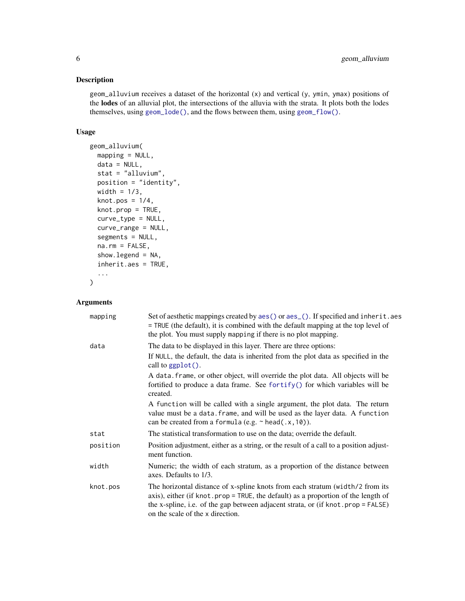# <span id="page-5-0"></span>Description

geom\_alluvium receives a dataset of the horizontal (x) and vertical (y, ymin, ymax) positions of the lodes of an alluvial plot, the intersections of the alluvia with the strata. It plots both the lodes themselves, using [geom\\_lode\(\)](#page-13-1), and the flows between them, using [geom\\_flow\(\)](#page-8-1).

# Usage

```
geom_alluvium(
  mapping = NULL,
 data = NULL,
  stat = "alluvium",
 position = "identity",
 width = 1/3,
  knot.pos = 1/4,
  knot.prop = TRUE,
  curve_type = NULL,
  curve_range = NULL,
  segments = NULL,
  na.rm = FALSE,show.legend = NA,
  inherit.aes = TRUE,
  ...
```
 $\mathcal{L}$ 

#### Arguments

| mapping  | Set of aesthetic mappings created by aes () or aes_(). If specified and inherit.aes<br>= TRUE (the default), it is combined with the default mapping at the top level of<br>the plot. You must supply mapping if there is no plot mapping.                                                   |
|----------|----------------------------------------------------------------------------------------------------------------------------------------------------------------------------------------------------------------------------------------------------------------------------------------------|
| data     | The data to be displayed in this layer. There are three options:                                                                                                                                                                                                                             |
|          | If NULL, the default, the data is inherited from the plot data as specified in the<br>call to $ggplot()$ .                                                                                                                                                                                   |
|          | A data. frame, or other object, will override the plot data. All objects will be<br>fortified to produce a data frame. See fortify() for which variables will be<br>created.                                                                                                                 |
|          | A function will be called with a single argument, the plot data. The return<br>value must be a data. frame, and will be used as the layer data. A function<br>can be created from a formula (e.g. $\sim$ head(.x, 10)).                                                                      |
| stat     | The statistical transformation to use on the data; override the default.                                                                                                                                                                                                                     |
| position | Position adjustment, either as a string, or the result of a call to a position adjust-<br>ment function.                                                                                                                                                                                     |
| width    | Numeric; the width of each stratum, as a proportion of the distance between<br>axes. Defaults to 1/3.                                                                                                                                                                                        |
| knot.pos | The horizontal distance of x-spline knots from each stratum (width/2 from its<br>axis), either (if knot.prop = TRUE, the default) as a proportion of the length of<br>the x-spline, i.e. of the gap between adjacent strata, or (if knot . prop = FALSE)<br>on the scale of the x direction. |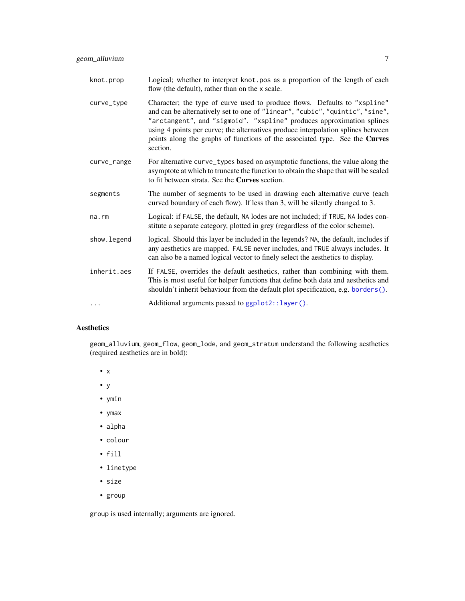<span id="page-6-0"></span>knot.prop Logical; whether to interpret knot.pos as a proportion of the length of each flow (the default), rather than on the x scale. curve\_type Character; the type of curve used to produce flows. Defaults to "xspline" and can be alternatively set to one of "linear", "cubic", "quintic", "sine", "arctangent", and "sigmoid". "xspline" produces approximation splines using 4 points per curve; the alternatives produce interpolation splines between points along the graphs of functions of the associated type. See the Curves section. curve\_range For alternative curve\_types based on asymptotic functions, the value along the asymptote at which to truncate the function to obtain the shape that will be scaled to fit between strata. See the Curves section. segments The number of segments to be used in drawing each alternative curve (each curved boundary of each flow). If less than 3, will be silently changed to 3. na.rm Logical: if FALSE, the default, NA lodes are not included; if TRUE, NA lodes constitute a separate category, plotted in grey (regardless of the color scheme). show. legend logical. Should this layer be included in the legends? NA, the default, includes if any aesthetics are mapped. FALSE never includes, and TRUE always includes. It can also be a named logical vector to finely select the aesthetics to display. inherit.aes If FALSE, overrides the default aesthetics, rather than combining with them. This is most useful for helper functions that define both data and aesthetics and shouldn't inherit behaviour from the default plot specification, e.g. [borders\(\)](#page-0-0). ... Additional arguments passed to [ggplot2::layer\(\)](#page-0-0).

# Aesthetics

geom\_alluvium, geom\_flow, geom\_lode, and geom\_stratum understand the following aesthetics (required aesthetics are in bold):

- x
- y
- ymin
- ymax
- alpha
- colour
- fill
- linetype
- size
- group

group is used internally; arguments are ignored.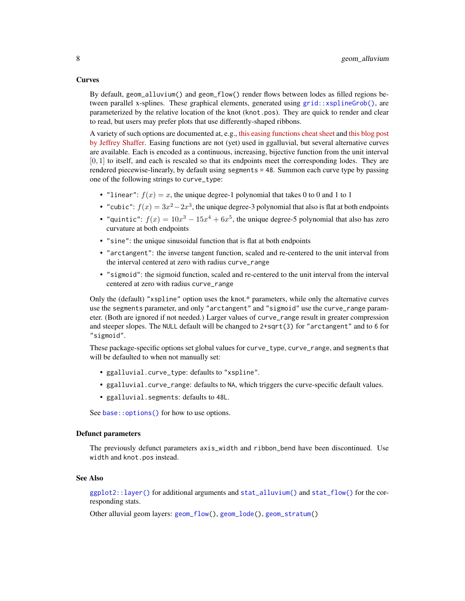#### <span id="page-7-0"></span>Curves

By default, geom\_alluvium() and geom\_flow() render flows between lodes as filled regions between parallel x-splines. These graphical elements, generated using [grid::xsplineGrob\(\)](#page-0-0), are parameterized by the relative location of the knot (knot.pos). They are quick to render and clear to read, but users may prefer plots that use differently-shaped ribbons.

A variety of such options are documented at, e.g., [this easing functions cheat sheet](https://easings.net/) and [this blog post](https://www.dataplusscience.com/Sigmoid.html) [by Jeffrey Shaffer.](https://www.dataplusscience.com/Sigmoid.html) Easing functions are not (yet) used in ggalluvial, but several alternative curves are available. Each is encoded as a continuous, increasing, bijective function from the unit interval  $[0, 1]$  to itself, and each is rescaled so that its endpoints meet the corresponding lodes. They are rendered piecewise-linearly, by default using segments = 48. Summon each curve type by passing one of the following strings to curve\_type:

- "linear":  $f(x) = x$ , the unique degree-1 polynomial that takes 0 to 0 and 1 to 1
- "cubic":  $f(x) = 3x^2 2x^3$ , the unique degree-3 polynomial that also is flat at both endpoints
- "quintic":  $f(x) = 10x^3 15x^4 + 6x^5$ , the unique degree-5 polynomial that also has zero curvature at both endpoints
- "sine": the unique sinusoidal function that is flat at both endpoints
- "arctangent": the inverse tangent function, scaled and re-centered to the unit interval from the interval centered at zero with radius curve\_range
- "sigmoid": the sigmoid function, scaled and re-centered to the unit interval from the interval centered at zero with radius curve\_range

Only the (default) "xspline" option uses the knot.\* parameters, while only the alternative curves use the segments parameter, and only "arctangent" and "sigmoid" use the curve\_range parameter. (Both are ignored if not needed.) Larger values of curve\_range result in greater compression and steeper slopes. The NULL default will be changed to 2+sqrt(3) for "arctangent" and to 6 for "sigmoid".

These package-specific options set global values for curve\_type, curve\_range, and segments that will be defaulted to when not manually set:

- ggalluvial.curve\_type: defaults to "xspline".
- ggalluvial.curve\_range: defaults to NA, which triggers the curve-specific default values.
- ggalluvial.segments: defaults to 48L.

See base:: options() for how to use options.

# Defunct parameters

The previously defunct parameters axis\_width and ribbon\_bend have been discontinued. Use width and knot.pos instead.

### See Also

[ggplot2::layer\(\)](#page-0-0) for additional arguments and [stat\\_alluvium\(\)](#page-20-1) and [stat\\_flow\(\)](#page-26-1) for the corresponding stats.

Other alluvial geom layers: [geom\\_flow\(](#page-8-1)), [geom\\_lode\(](#page-13-1)), [geom\\_stratum\(](#page-15-1))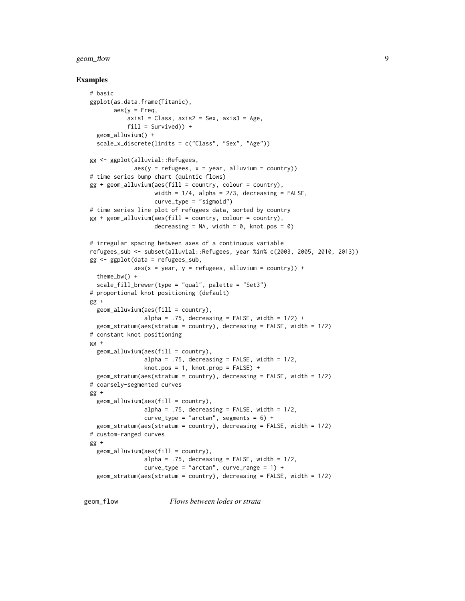# <span id="page-8-0"></span>geom\_flow 9

# Examples

```
# basic
ggplot(as.data.frame(Titanic),
       \text{aes}(y = \text{Freq},axis1 = Class, axis2 = Sex, axis3 = Age,fill = Survey() +
 geom_alluvium() +
 scale_x_discrete(limits = c("Class", "Sex", "Age"))
gg <- ggplot(alluvial::Refugees,
             aes(y = refugees, x = year, alluvium = country))# time series bump chart (quintic flows)
gg + geom\_alluvium(aes(fill = country, colour = country),width = 1/4, alpha = 2/3, decreasing = FALSE,
                   curve_type = "sigmoid")
# time series line plot of refugees data, sorted by country
gg + geom\_alluvium(aes(fill = country, colour = country),decreasing = NA, width = 0, knot.pos = 0)
# irregular spacing between axes of a continuous variable
refugees_sub <- subset(alluvial::Refugees, year %in% c(2003, 2005, 2010, 2013))
gg \leq-ggplot(data = refugees\_sub,aes(x = year, y = refugees, alluvium = country) +
 theme_bw() +
 scale_fill_brewer(type = "qual", palette = "Set3")
# proportional knot positioning (default)
gg +
 geom_alluvium(aes(fill = country),
                alpha = .75, decreasing = FALSE, width = 1/2) +
 geom_stratum(aes(stratum = country), decreasing = FALSE, width = 1/2)
# constant knot positioning
gg +
 geom_alluvium(aes(fill = country),
                alpha = .75, decreasing = FALSE, width = 1/2,
                knot.pos = 1, knot.prop = FALSE) +
 geom_stratum(aes(stratum = country), decreasing = FALSE, width = 1/2)
# coarsely-segmented curves
gg +
 geom_alluvium(aes(fill = country),
                alpha = .75, decreasing = FALSE, width = 1/2,
                curve_type = "arctan", segments = 6) +
 geom_stratum(aes(stratum = country), decreasing = FALSE, width = 1/2)
# custom-ranged curves
gg +
 geom_alluvium(aes(fill = country),
                alpha = .75, decreasing = FALSE, width = 1/2,
                curve\_type = "arctan", curve\_range = 1) +geom_stratum(aes(stratum = country), decreasing = FALSE, width = 1/2)
```
<span id="page-8-1"></span>

geom\_flow *Flows between lodes or strata*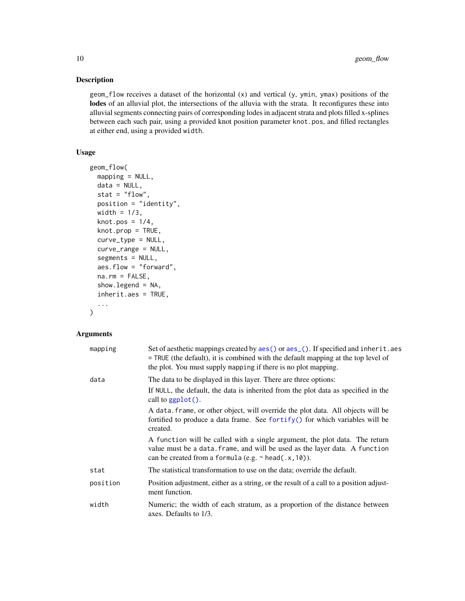# Description

geom\_flow receives a dataset of the horizontal (x) and vertical (y, ymin, ymax) positions of the lodes of an alluvial plot, the intersections of the alluvia with the strata. It reconfigures these into alluvial segments connecting pairs of corresponding lodes in adjacent strata and plots filled x-splines between each such pair, using a provided knot position parameter knot.pos, and filled rectangles at either end, using a provided width.

# Usage

```
geom_flow(
  mapping = NULL,data = NULL,stat = "flow",position = "identity",
 width = 1/3,
  knot.pos = 1/4,
  knot.prop = TRUE,
  curve_type = NULL,
  curve_range = NULL,
  segments = NULL,
  aes.flow = "forward",
  na.rm = FALSE,
  show.legend = NA,
  inherit.aes = TRUE,
  ...
)
```
# Arguments

| mapping  | Set of aesthetic mappings created by aes() or aes_(). If specified and inherit.aes<br>= TRUE (the default), it is combined with the default mapping at the top level of<br>the plot. You must supply mapping if there is no plot mapping. |
|----------|-------------------------------------------------------------------------------------------------------------------------------------------------------------------------------------------------------------------------------------------|
| data     | The data to be displayed in this layer. There are three options:<br>If NULL, the default, the data is inherited from the plot data as specified in the<br>call to $ggplot()$ .                                                            |
|          | A data, frame, or other object, will override the plot data. All objects will be<br>fortified to produce a data frame. See fortify() for which variables will be<br>created.                                                              |
|          | A function will be called with a single argument, the plot data. The return<br>value must be a data. frame, and will be used as the layer data. A function<br>can be created from a formula (e.g. $\sim$ head(.x, 10)).                   |
| stat     | The statistical transformation to use on the data; override the default.                                                                                                                                                                  |
| position | Position adjustment, either as a string, or the result of a call to a position adjust-<br>ment function.                                                                                                                                  |
| width    | Numeric; the width of each stratum, as a proportion of the distance between<br>axes. Defaults to 1/3.                                                                                                                                     |

<span id="page-9-0"></span>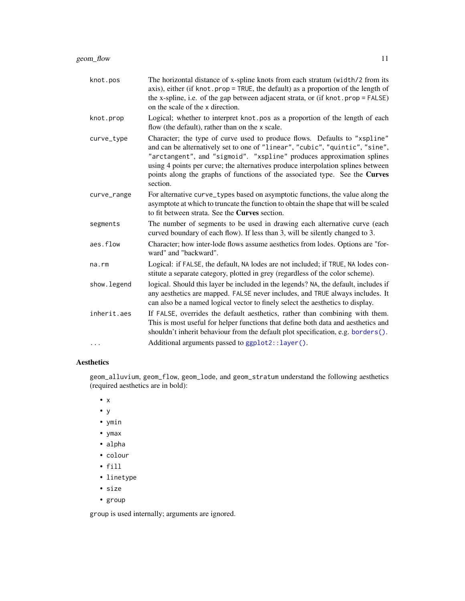<span id="page-10-0"></span>

| knot.pos     | The horizontal distance of x-spline knots from each stratum (width/2 from its<br>axis), either (if knot.prop = TRUE, the default) as a proportion of the length of<br>the x-spline, i.e. of the gap between adjacent strata, or (if knot.prop = FALSE)<br>on the scale of the x direction.                                                                                                                        |
|--------------|-------------------------------------------------------------------------------------------------------------------------------------------------------------------------------------------------------------------------------------------------------------------------------------------------------------------------------------------------------------------------------------------------------------------|
| knot.prop    | Logical; whether to interpret knot pos as a proportion of the length of each<br>flow (the default), rather than on the x scale.                                                                                                                                                                                                                                                                                   |
| curve_type   | Character; the type of curve used to produce flows. Defaults to "xspline"<br>and can be alternatively set to one of "linear", "cubic", "quintic", "sine",<br>"arctangent", and "sigmoid". "xspline" produces approximation splines<br>using 4 points per curve; the alternatives produce interpolation splines between<br>points along the graphs of functions of the associated type. See the Curves<br>section. |
| curve_range  | For alternative curve_types based on asymptotic functions, the value along the<br>asymptote at which to truncate the function to obtain the shape that will be scaled<br>to fit between strata. See the <b>Curves</b> section.                                                                                                                                                                                    |
| segments     | The number of segments to be used in drawing each alternative curve (each<br>curved boundary of each flow). If less than 3, will be silently changed to 3.                                                                                                                                                                                                                                                        |
| aes.flow     | Character; how inter-lode flows assume aesthetics from lodes. Options are "for-<br>ward" and "backward".                                                                                                                                                                                                                                                                                                          |
| $na$ . $rm$  | Logical: if FALSE, the default, NA lodes are not included; if TRUE, NA lodes con-<br>stitute a separate category, plotted in grey (regardless of the color scheme).                                                                                                                                                                                                                                               |
| show. legend | logical. Should this layer be included in the legends? NA, the default, includes if<br>any aesthetics are mapped. FALSE never includes, and TRUE always includes. It<br>can also be a named logical vector to finely select the aesthetics to display.                                                                                                                                                            |
| inherit.aes  | If FALSE, overrides the default aesthetics, rather than combining with them.<br>This is most useful for helper functions that define both data and aesthetics and<br>shouldn't inherit behaviour from the default plot specification, e.g. borders().                                                                                                                                                             |
| .            | Additional arguments passed to ggplot2::layer().                                                                                                                                                                                                                                                                                                                                                                  |

# Aesthetics

geom\_alluvium, geom\_flow, geom\_lode, and geom\_stratum understand the following aesthetics (required aesthetics are in bold):

- x
- y
- ymin
- ymax
- alpha
- colour
- fill
- linetype
- size
- group

group is used internally; arguments are ignored.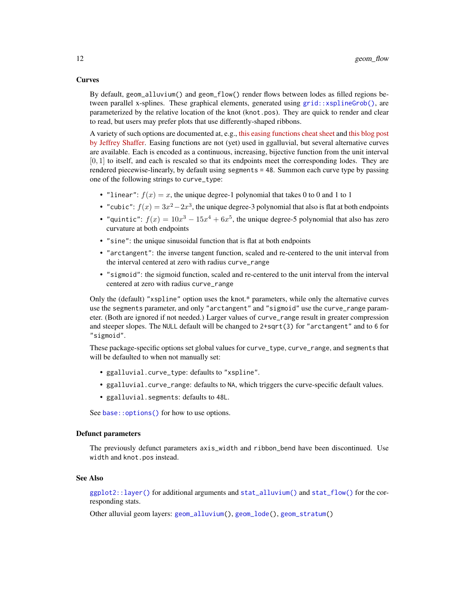# <span id="page-11-0"></span>**Curves**

By default, geom\_alluvium() and geom\_flow() render flows between lodes as filled regions between parallel x-splines. These graphical elements, generated using [grid::xsplineGrob\(\)](#page-0-0), are parameterized by the relative location of the knot (knot.pos). They are quick to render and clear to read, but users may prefer plots that use differently-shaped ribbons.

A variety of such options are documented at, e.g., [this easing functions cheat sheet](https://easings.net/) and [this blog post](https://www.dataplusscience.com/Sigmoid.html) [by Jeffrey Shaffer.](https://www.dataplusscience.com/Sigmoid.html) Easing functions are not (yet) used in ggalluvial, but several alternative curves are available. Each is encoded as a continuous, increasing, bijective function from the unit interval  $[0, 1]$  to itself, and each is rescaled so that its endpoints meet the corresponding lodes. They are rendered piecewise-linearly, by default using segments = 48. Summon each curve type by passing one of the following strings to curve\_type:

- "linear":  $f(x) = x$ , the unique degree-1 polynomial that takes 0 to 0 and 1 to 1
- "cubic":  $f(x) = 3x^2 2x^3$ , the unique degree-3 polynomial that also is flat at both endpoints
- "quintic":  $f(x) = 10x^3 15x^4 + 6x^5$ , the unique degree-5 polynomial that also has zero curvature at both endpoints
- "sine": the unique sinusoidal function that is flat at both endpoints
- "arctangent": the inverse tangent function, scaled and re-centered to the unit interval from the interval centered at zero with radius curve\_range
- "sigmoid": the sigmoid function, scaled and re-centered to the unit interval from the interval centered at zero with radius curve\_range

Only the (default) "xspline" option uses the knot.\* parameters, while only the alternative curves use the segments parameter, and only "arctangent" and "sigmoid" use the curve\_range parameter. (Both are ignored if not needed.) Larger values of curve\_range result in greater compression and steeper slopes. The NULL default will be changed to 2+sqrt(3) for "arctangent" and to 6 for "sigmoid".

These package-specific options set global values for curve\_type, curve\_range, and segments that will be defaulted to when not manually set:

- ggalluvial.curve\_type: defaults to "xspline".
- ggalluvial.curve\_range: defaults to NA, which triggers the curve-specific default values.
- ggalluvial.segments: defaults to 48L.

See base:: options() for how to use options.

# Defunct parameters

The previously defunct parameters axis\_width and ribbon\_bend have been discontinued. Use width and knot.pos instead.

### See Also

[ggplot2::layer\(\)](#page-0-0) for additional arguments and [stat\\_alluvium\(\)](#page-20-1) and [stat\\_flow\(\)](#page-26-1) for the corresponding stats.

Other alluvial geom layers: [geom\\_alluvium\(](#page-4-1)), [geom\\_lode\(](#page-13-1)), [geom\\_stratum\(](#page-15-1))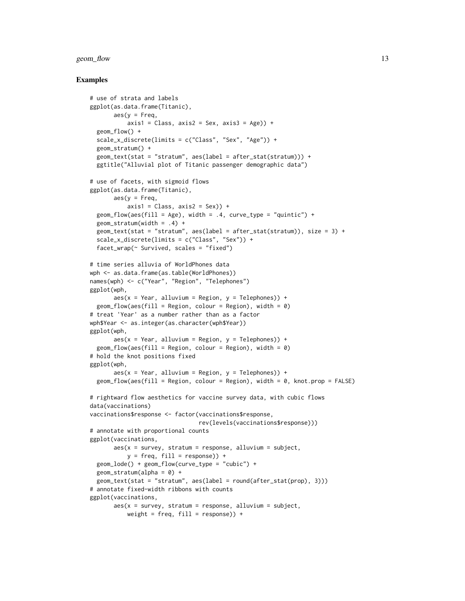# geom\_flow 13

#### Examples

```
# use of strata and labels
ggplot(as.data.frame(Titanic),
       aes(y = Freq,axis1 = Class, axis2 = Sex, axis3 = Age) +
 geom_flow() +
 scale_x_discrete(limits = c("Class", "Sex", "Age")) +
 geom_stratum() +
 geom_text(stat = "stratum", aes(label = after_stat(stratum))) +
 ggtitle("Alluvial plot of Titanic passenger demographic data")
# use of facets, with sigmoid flows
ggplot(as.data.frame(Titanic),
       \text{aes}(y = \text{Freq},axis1 = Class, axis2 = Sex) +
 geom_flow(aes(fill = Age), width = .4, curve_type = "quintic") +
 geom\_stratum(width = .4) +geom_text(\text{stat} = "stratum", aes(\text{label} = after_stat(\text{stratum})), size = 3) +scale_x_discrete(limits = c("Class", "Sex")) +
 facet_wrap(\sim Survived, scales = "fixed")
# time series alluvia of WorldPhones data
wph <- as.data.frame(as.table(WorldPhones))
names(wph) <- c("Year", "Region", "Telephones")
ggplot(wph,
       aes(x = Year, alluvium = Region, y = Telephones)) +geom_flow(aes(fill = Region, colour = Region), width = \theta)
# treat 'Year' as a number rather than as a factor
wph$Year <- as.integer(as.character(wph$Year))
ggplot(wph,
       aes(x = Year, alluvium = Region, y = Telephones) +
  geom_flow(aes(fill = Region, colour = Region), width = 0)
# hold the knot positions fixed
ggplot(wph,
       aes(x = Year, alluvium = Region, y = Telephones)) +geom_flow(aes(fill = Region, colour = Region), width = 0, knot.pop = FALSE)# rightward flow aesthetics for vaccine survey data, with cubic flows
data(vaccinations)
vaccinations$response <- factor(vaccinations$response,
                                rev(levels(vaccinations$response)))
# annotate with proportional counts
ggplot(vaccinations,
       aes(x = survey, stratum = response, alluvium = subject,y = freq, fill = response) +
 geom_lode() + geom_flow(curve_type = "cubic") +
 geom_stratum(alpha = 0) +
 geom_text(stat = "stratum", aes(label = round(after_stat(prop), 3)))
# annotate fixed-width ribbons with counts
ggplot(vaccinations,
       aes(x = survey, stratum = response, alluvium = subject,weight = freq, fill = response)) +
```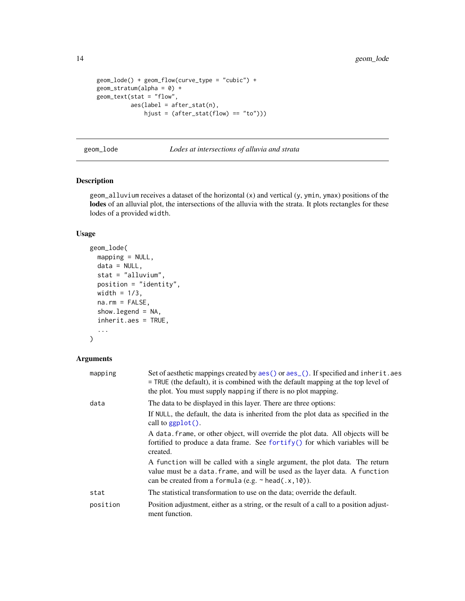```
geom_lode() + geom_flow(curve_type = "cubic") +
geom\_stratum(alpha = 0) +geom_text(stat = "flow",
         aes(label = after_stat(n)),hjust = (after\_stat(float) == "to"))
```
<span id="page-13-1"></span>geom\_lode *Lodes at intersections of alluvia and strata*

# Description

geom\_alluvium receives a dataset of the horizontal (x) and vertical (y, ymin, ymax) positions of the lodes of an alluvial plot, the intersections of the alluvia with the strata. It plots rectangles for these lodes of a provided width.

# Usage

```
geom_lode(
 mapping = NULL,
 data = NULL,
  stat = "alluvium",
 position = "identity",
 width = 1/3,
 na.rm = FALSE,
  show.legend = NA,
  inherit.aes = TRUE,
  ...
\mathcal{L}
```
# Arguments

| mapping  | Set of aesthetic mappings created by aes () or aes (). If specified and inherit. aes<br>= TRUE (the default), it is combined with the default mapping at the top level of<br>the plot. You must supply mapping if there is no plot mapping. |
|----------|---------------------------------------------------------------------------------------------------------------------------------------------------------------------------------------------------------------------------------------------|
| data     | The data to be displayed in this layer. There are three options:                                                                                                                                                                            |
|          | If NULL, the default, the data is inherited from the plot data as specified in the<br>call to $ggplot()$ .                                                                                                                                  |
|          | A data frame, or other object, will override the plot data. All objects will be<br>fortified to produce a data frame. See fortify() for which variables will be<br>created.                                                                 |
|          | A function will be called with a single argument, the plot data. The return<br>value must be a data. frame, and will be used as the layer data. A function<br>can be created from a formula (e.g. $\sim$ head(.x, 10)).                     |
| stat     | The statistical transformation to use on the data; override the default.                                                                                                                                                                    |
| position | Position adjustment, either as a string, or the result of a call to a position adjust-<br>ment function.                                                                                                                                    |

<span id="page-13-0"></span>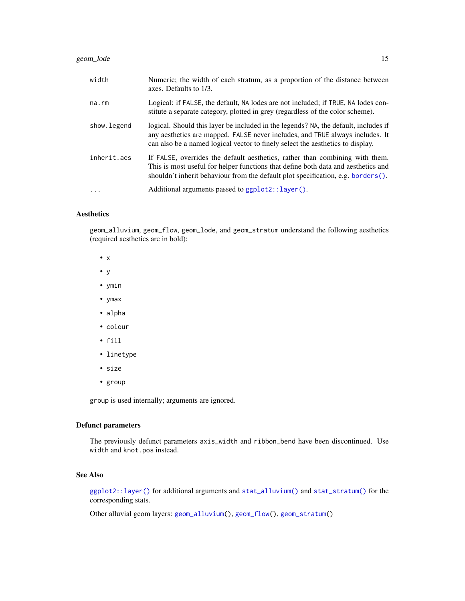# <span id="page-14-0"></span>geom\_lode 15

| width       | Numeric; the width of each stratum, as a proportion of the distance between<br>axes. Defaults to 1/3.                                                                                                                                                     |
|-------------|-----------------------------------------------------------------------------------------------------------------------------------------------------------------------------------------------------------------------------------------------------------|
| na.rm       | Logical: if FALSE, the default, NA lodes are not included; if TRUE, NA lodes con-<br>stitute a separate category, plotted in grey (regardless of the color scheme).                                                                                       |
| show.legend | logical. Should this layer be included in the legends? NA, the default, includes if<br>any aesthetics are mapped. FALSE never includes, and TRUE always includes. It<br>can also be a named logical vector to finely select the aesthetics to display.    |
| inherit.aes | If FALSE, overrides the default aesthetics, rather than combining with them.<br>This is most useful for helper functions that define both data and aesthetics and<br>shouldn't inherit behaviour from the default plot specification, e.g. borders $()$ . |
| $\ddots$    | Additional arguments passed to ggplot2::layer().                                                                                                                                                                                                          |

# Aesthetics

geom\_alluvium, geom\_flow, geom\_lode, and geom\_stratum understand the following aesthetics (required aesthetics are in bold):

- x
- y
- ymin
- ymax
- alpha
- colour
- fill
- linetype
- size
- group

group is used internally; arguments are ignored.

# Defunct parameters

The previously defunct parameters axis\_width and ribbon\_bend have been discontinued. Use width and knot.pos instead.

# See Also

[ggplot2::layer\(\)](#page-0-0) for additional arguments and [stat\\_alluvium\(\)](#page-20-1) and [stat\\_stratum\(\)](#page-31-1) for the corresponding stats.

Other alluvial geom layers: [geom\\_alluvium\(](#page-4-1)), [geom\\_flow\(](#page-8-1)), [geom\\_stratum\(](#page-15-1))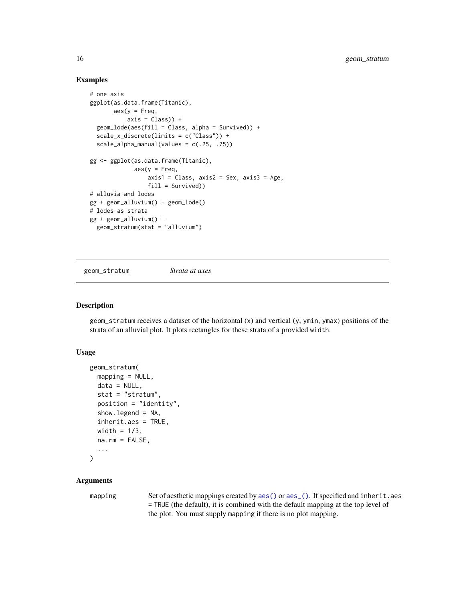# Examples

```
# one axis
ggplot(as.data.frame(Titanic),
       aes(y = Freq,axis = Class) +
  geom_lode(aes(fill = Class, alpha = Survived)) +
  scale_x_discrete(limits = c("Class")) +
  scale_alpha_manual(values = c(.25, .75))
gg <- ggplot(as.data.frame(Titanic),
             aes(y = Freq,axis1 = Class, axis2 = Sex, axis3 = Age,fill = Survived))
# alluvia and lodes
gg + geom_alluvium() + geom_lode()
# lodes as strata
gg + geom_alluvium() +
  geom_stratum(stat = "alluvium")
```
<span id="page-15-1"></span>geom\_stratum *Strata at axes*

# Description

geom\_stratum receives a dataset of the horizontal (x) and vertical (y, ymin, ymax) positions of the strata of an alluvial plot. It plots rectangles for these strata of a provided width.

# Usage

```
geom_stratum(
 mapping = NULL,data = NULL,stat = "stratum",
 position = "identity",
  show.legend = NA,
  inherit.aes = TRUE,
 width = 1/3,
 na.rm = FALSE,
  ...
)
```
# Arguments

mapping Set of aesthetic mappings created by [aes\(\)](#page-0-0) or [aes\\_\(\)](#page-0-0). If specified and inherit.aes = TRUE (the default), it is combined with the default mapping at the top level of the plot. You must supply mapping if there is no plot mapping.

<span id="page-15-0"></span>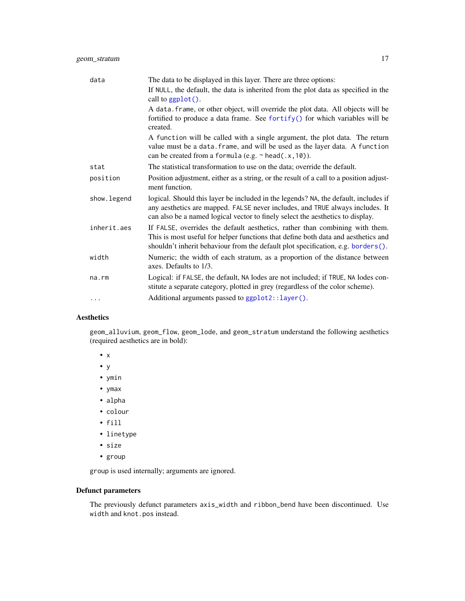<span id="page-16-0"></span>

| data        | The data to be displayed in this layer. There are three options:                                                                                                                                                                                       |
|-------------|--------------------------------------------------------------------------------------------------------------------------------------------------------------------------------------------------------------------------------------------------------|
|             | If NULL, the default, the data is inherited from the plot data as specified in the<br>call to ggplot().                                                                                                                                                |
|             | A data. frame, or other object, will override the plot data. All objects will be<br>fortified to produce a data frame. See fortify() for which variables will be<br>created.                                                                           |
|             | A function will be called with a single argument, the plot data. The return<br>value must be a data. frame, and will be used as the layer data. A function<br>can be created from a formula (e.g. $\sim$ head(.x, 10)).                                |
| stat        | The statistical transformation to use on the data; override the default.                                                                                                                                                                               |
| position    | Position adjustment, either as a string, or the result of a call to a position adjust-<br>ment function.                                                                                                                                               |
| show.legend | logical. Should this layer be included in the legends? NA, the default, includes if<br>any aesthetics are mapped. FALSE never includes, and TRUE always includes. It<br>can also be a named logical vector to finely select the aesthetics to display. |
| inherit.aes | If FALSE, overrides the default aesthetics, rather than combining with them.<br>This is most useful for helper functions that define both data and aesthetics and<br>shouldn't inherit behaviour from the default plot specification, e.g. borders().  |
| width       | Numeric; the width of each stratum, as a proportion of the distance between<br>axes. Defaults to 1/3.                                                                                                                                                  |
| na.rm       | Logical: if FALSE, the default, NA lodes are not included; if TRUE, NA lodes con-<br>stitute a separate category, plotted in grey (regardless of the color scheme).                                                                                    |
| .           | Additional arguments passed to ggplot2::layer().                                                                                                                                                                                                       |

# Aesthetics

geom\_alluvium, geom\_flow, geom\_lode, and geom\_stratum understand the following aesthetics (required aesthetics are in bold):

- x
- y
- ymin
- ymax
- alpha
- colour
- fill
- linetype
- size
- group

group is used internally; arguments are ignored.

# Defunct parameters

The previously defunct parameters axis\_width and ribbon\_bend have been discontinued. Use width and knot.pos instead.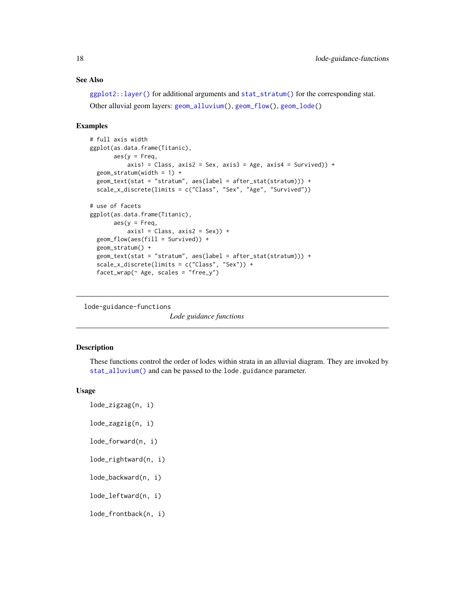# See Also

[ggplot2::layer\(\)](#page-0-0) for additional arguments and [stat\\_stratum\(\)](#page-31-1) for the corresponding stat. Other alluvial geom layers: [geom\\_alluvium\(](#page-4-1)), [geom\\_flow\(](#page-8-1)), [geom\\_lode\(](#page-13-1))

# Examples

```
# full axis width
ggplot(as.data.frame(Titanic),
       \text{aes}(v = \text{Freq})axis1 = Class, axis2 = Sex, axis3 = Age, axis4 = Survey() +geom_stratum(width = 1) +
 geom_text(stat = "stratum", aes(label = after_stat(stratum))) +
 scale_x_discrete(limits = c("Class", "Sex", "Age", "Survived"))
# use of facets
ggplot(as.data.frame(Titanic),
       \text{aes}(y = \text{Freq},axis1 = Class, axis2 = Sex) +
 geom_flow(aes(fill = Survey) +geom_stratum() +
 geom_text(stat = "stratum", aes(label = after_stat(stratum))) +
 scale_x_discrete(limits = c("Class", "Sex")) +
 factor_{wrap}(\sim Age, scales = "free_y")
```
<span id="page-17-1"></span>lode-guidance-functions

*Lode guidance functions*

#### Description

These functions control the order of lodes within strata in an alluvial diagram. They are invoked by [stat\\_alluvium\(\)](#page-20-1) and can be passed to the lode.guidance parameter.

# Usage

lode\_zigzag(n, i) lode\_zagzig(n, i) lode\_forward(n, i) lode\_rightward(n, i) lode\_backward(n, i) lode\_leftward(n, i) lode\_frontback(n, i)

<span id="page-17-0"></span>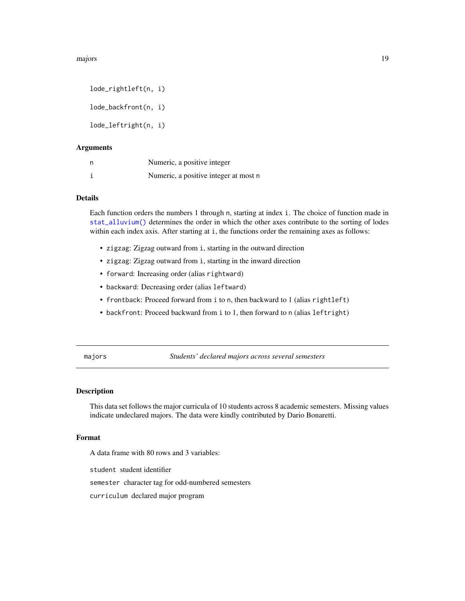<span id="page-18-0"></span>majors and the contract of the contract of the contract of the contract of the contract of the contract of the contract of the contract of the contract of the contract of the contract of the contract of the contract of the

lode\_rightleft(n, i) lode\_backfront(n, i) lode\_leftright(n, i)

# Arguments

| n | Numeric, a positive integer           |
|---|---------------------------------------|
|   | Numeric, a positive integer at most n |

# Details

Each function orders the numbers 1 through n, starting at index i. The choice of function made in [stat\\_alluvium\(\)](#page-20-1) determines the order in which the other axes contribute to the sorting of lodes within each index axis. After starting at i, the functions order the remaining axes as follows:

- zigzag: Zigzag outward from i, starting in the outward direction
- zigzag: Zigzag outward from i, starting in the inward direction
- forward: Increasing order (alias rightward)
- backward: Decreasing order (alias leftward)
- frontback: Proceed forward from i to n, then backward to 1 (alias rightleft)
- backfront: Proceed backward from i to 1, then forward to n (alias leftright)

majors *Students' declared majors across several semesters*

#### Description

This data set follows the major curricula of 10 students across 8 academic semesters. Missing values indicate undeclared majors. The data were kindly contributed by Dario Bonaretti.

# Format

A data frame with 80 rows and 3 variables:

student student identifier

semester character tag for odd-numbered semesters

curriculum declared major program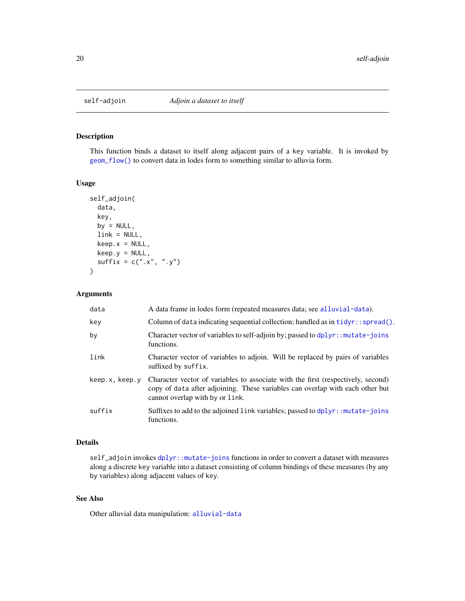<span id="page-19-1"></span><span id="page-19-0"></span>

# Description

This function binds a dataset to itself along adjacent pairs of a key variable. It is invoked by [geom\\_flow\(\)](#page-8-1) to convert data in lodes form to something similar to alluvia form.

# Usage

```
self_adjoin(
  data,
  key,
  by = NULL,
  link = NULL,
  keep.x = NULL,keep.y = NULL,
  sufficient(x = c("x", "y")\mathcal{L}
```
# Arguments

| data           | A data frame in lodes form (repeated measures data; see alluvial-data).                                                                                                                              |
|----------------|------------------------------------------------------------------------------------------------------------------------------------------------------------------------------------------------------|
| key            | Column of data indicating sequential collection; handled as in $tidyr: spred()$ .                                                                                                                    |
| by             | Character vector of variables to self-adjoin by; passed to dplyr:: mutate-joins<br>functions.                                                                                                        |
| link           | Character vector of variables to adjoin. Will be replaced by pairs of variables<br>suffixed by suffix.                                                                                               |
| keep.x, keep.y | Character vector of variables to associate with the first (respectively, second)<br>copy of data after adjoining. These variables can overlap with each other but<br>cannot overlap with by or link. |
| suffix         | Suffixes to add to the adjoined link variables; passed to dplyr:: mutate-joins<br>functions.                                                                                                         |

# Details

self\_adjoin invokes [dplyr::mutate-joins](#page-0-0) functions in order to convert a dataset with measures along a discrete key variable into a dataset consisting of column bindings of these measures (by any by variables) along adjacent values of key.

# See Also

Other alluvial data manipulation: [alluvial-data](#page-1-1)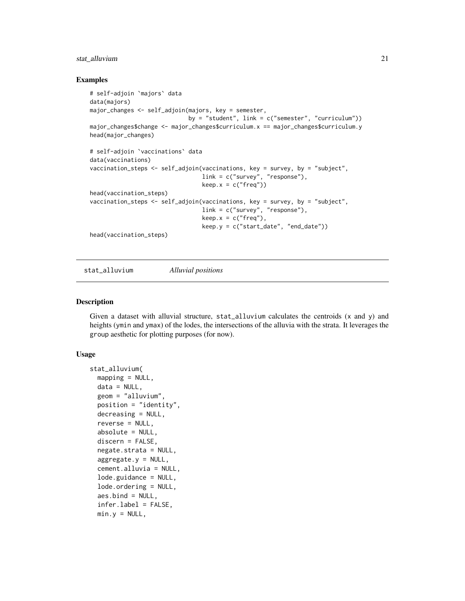# <span id="page-20-0"></span>stat\_alluvium 21

# Examples

```
# self-adjoin `majors` data
data(majors)
major_changes <- self_adjoin(majors, key = semester,
                             by = "student", link = c("semester", "curriculum"))major_changes$change <- major_changes$curriculum.x == major_changes$curriculum.y
head(major_changes)
# self-adjoin `vaccinations` data
data(vaccinations)
vaccination_steps <- self_adjoin(vaccinations, key = survey, by = "subject",
                                 link = c("survey", "response"),
                                 keep.x = c("freq"))head(vaccination_steps)
vaccination_steps <- self_adjoin(vaccinations, key = survey, by = "subject",
                                 link = c("survey", "response"),
                                 keep.x = c("freq"),keep.y = c("start_date", "end_date"))
head(vaccination_steps)
```
<span id="page-20-1"></span>stat\_alluvium *Alluvial positions*

#### Description

Given a dataset with alluvial structure, stat\_alluvium calculates the centroids (x and y) and heights (ymin and ymax) of the lodes, the intersections of the alluvia with the strata. It leverages the group aesthetic for plotting purposes (for now).

### Usage

```
stat_alluvium(
  mapping = NULL,data = NULL,
  geom = "alluvium",
  position = "identity",
  decreasing = NULL,
  reverse = NULL,
  absolute = NULL,
  discern = FALSE,
  negate.strata = NULL,
  aggregate.y = NULL,
  cement.alluvia = NULL,
  lode.guidance = NULL,
  lode.ordering = NULL,
  aes.bind = NULL,
  infer.label = FALSE,
  min.y = NULL,
```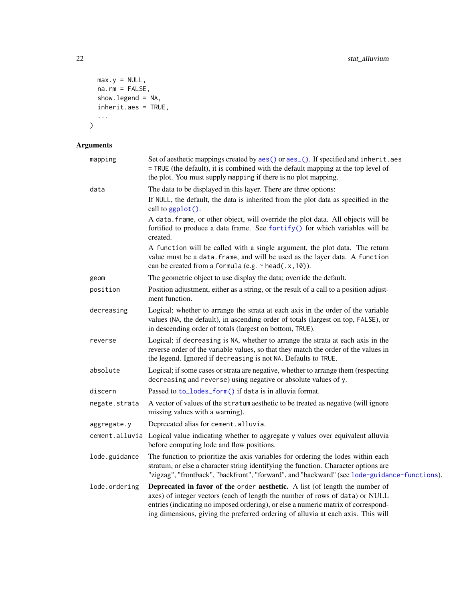```
max.y = NULL,na.rm = FALSE,show.legend = NA,
  inherit.aes = TRUE,
  ...
\lambda
```
# Arguments

| mapping       | Set of aesthetic mappings created by aes() or aes_(). If specified and inherit.aes<br>= TRUE (the default), it is combined with the default mapping at the top level of<br>the plot. You must supply mapping if there is no plot mapping.                                                                                            |
|---------------|--------------------------------------------------------------------------------------------------------------------------------------------------------------------------------------------------------------------------------------------------------------------------------------------------------------------------------------|
| data          | The data to be displayed in this layer. There are three options:<br>If NULL, the default, the data is inherited from the plot data as specified in the<br>call to ggplot().                                                                                                                                                          |
|               | A data. frame, or other object, will override the plot data. All objects will be<br>fortified to produce a data frame. See fortify() for which variables will be<br>created.                                                                                                                                                         |
|               | A function will be called with a single argument, the plot data. The return<br>value must be a data. frame, and will be used as the layer data. A function<br>can be created from a formula (e.g. $\sim$ head(.x, 10)).                                                                                                              |
| geom          | The geometric object to use display the data; override the default.                                                                                                                                                                                                                                                                  |
| position      | Position adjustment, either as a string, or the result of a call to a position adjust-<br>ment function.                                                                                                                                                                                                                             |
| decreasing    | Logical; whether to arrange the strata at each axis in the order of the variable<br>values (NA, the default), in ascending order of totals (largest on top, FALSE), or<br>in descending order of totals (largest on bottom, TRUE).                                                                                                   |
| reverse       | Logical; if decreasing is NA, whether to arrange the strata at each axis in the<br>reverse order of the variable values, so that they match the order of the values in<br>the legend. Ignored if decreasing is not NA. Defaults to TRUE.                                                                                             |
| absolute      | Logical; if some cases or strata are negative, whether to arrange them (respecting<br>decreasing and reverse) using negative or absolute values of y.                                                                                                                                                                                |
| discern       | Passed to to_lodes_form() if data is in alluvia format.                                                                                                                                                                                                                                                                              |
| negate.strata | A vector of values of the stratum aesthetic to be treated as negative (will ignore<br>missing values with a warning).                                                                                                                                                                                                                |
| aggregate.y   | Deprecated alias for cement.alluvia.                                                                                                                                                                                                                                                                                                 |
|               | cement.alluvia Logical value indicating whether to aggregate y values over equivalent alluvia<br>before computing lode and flow positions.                                                                                                                                                                                           |
| lode.guidance | The function to prioritize the axis variables for ordering the lodes within each<br>stratum, or else a character string identifying the function. Character options are<br>"zigzag", "frontback", "backfront", "forward", and "backward" (see lode-guidance-functions).                                                              |
| lode.ordering | Deprecated in favor of the order aesthetic. A list (of length the number of<br>axes) of integer vectors (each of length the number of rows of data) or NULL<br>entries (indicating no imposed ordering), or else a numeric matrix of correspond-<br>ing dimensions, giving the preferred ordering of alluvia at each axis. This will |

<span id="page-21-0"></span>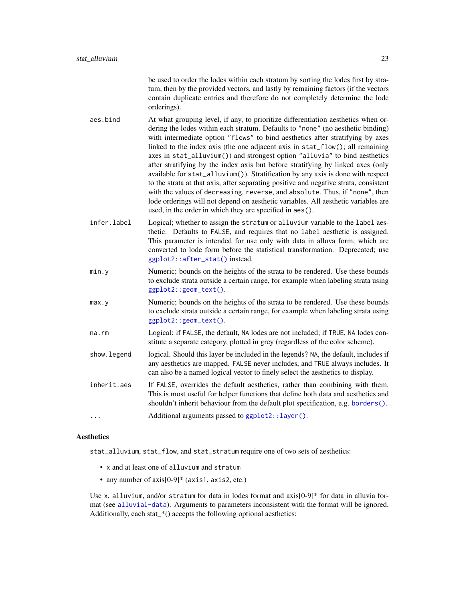be used to order the lodes within each stratum by sorting the lodes first by stratum, then by the provided vectors, and lastly by remaining factors (if the vectors contain duplicate entries and therefore do not completely determine the lode orderings).

- <span id="page-22-0"></span>aes.bind At what grouping level, if any, to prioritize differentiation aesthetics when ordering the lodes within each stratum. Defaults to "none" (no aesthetic binding) with intermediate option "flows" to bind aesthetics after stratifying by axes linked to the index axis (the one adjacent axis in stat\_flow(); all remaining axes in stat\_alluvium()) and strongest option "alluvia" to bind aesthetics after stratifying by the index axis but before stratifying by linked axes (only available for stat\_alluvium()). Stratification by any axis is done with respect to the strata at that axis, after separating positive and negative strata, consistent with the values of decreasing, reverse, and absolute. Thus, if "none", then lode orderings will not depend on aesthetic variables. All aesthetic variables are used, in the order in which they are specified in aes().
- infer.label Logical; whether to assign the stratum or alluvium variable to the label aesthetic. Defaults to FALSE, and requires that no label aesthetic is assigned. This parameter is intended for use only with data in alluva form, which are converted to lode form before the statistical transformation. Deprecated; use [ggplot2::after\\_stat\(\)](#page-0-0) instead.
- min.y Numeric; bounds on the heights of the strata to be rendered. Use these bounds to exclude strata outside a certain range, for example when labeling strata using [ggplot2::geom\\_text\(\)](#page-0-0).
- max.y Numeric; bounds on the heights of the strata to be rendered. Use these bounds to exclude strata outside a certain range, for example when labeling strata using [ggplot2::geom\\_text\(\)](#page-0-0).
- na.rm Logical: if FALSE, the default, NA lodes are not included; if TRUE, NA lodes constitute a separate category, plotted in grey (regardless of the color scheme).
- show. Legend logical. Should this layer be included in the legends? NA, the default, includes if any aesthetics are mapped. FALSE never includes, and TRUE always includes. It can also be a named logical vector to finely select the aesthetics to display.
- inherit.aes If FALSE, overrides the default aesthetics, rather than combining with them. This is most useful for helper functions that define both data and aesthetics and shouldn't inherit behaviour from the default plot specification, e.g. [borders\(\)](#page-0-0).

```
... Additional arguments passed to ggplot2::layer().
```
#### Aesthetics

stat\_alluvium, stat\_flow, and stat\_stratum require one of two sets of aesthetics:

- x and at least one of alluvium and stratum
- any number of axis<sup>[0-9]\*</sup> (axis1, axis2, etc.)

Use x, alluvium, and/or stratum for data in lodes format and  $axis[0-9]*$  for data in alluvia format (see [alluvial-data](#page-1-1)). Arguments to parameters inconsistent with the format will be ignored. Additionally, each stat\_\*() accepts the following optional aesthetics: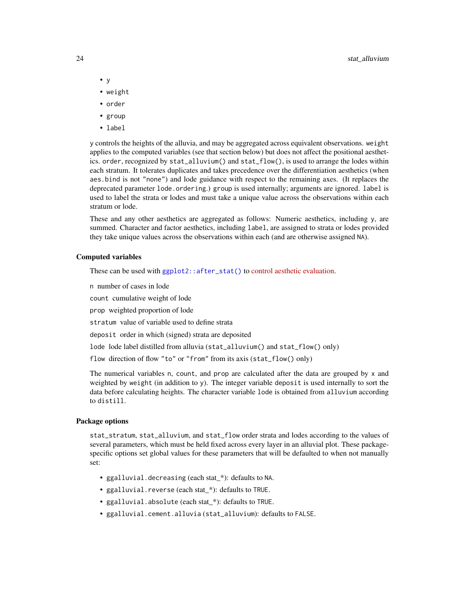- <span id="page-23-0"></span>• y
- weight
- order
- group
- label

y controls the heights of the alluvia, and may be aggregated across equivalent observations. weight applies to the computed variables (see that section below) but does not affect the positional aesthetics. order, recognized by stat\_alluvium() and stat\_flow(), is used to arrange the lodes within each stratum. It tolerates duplicates and takes precedence over the differentiation aesthetics (when aes.bind is not "none") and lode guidance with respect to the remaining axes. (It replaces the deprecated parameter lode.ordering.) group is used internally; arguments are ignored. label is used to label the strata or lodes and must take a unique value across the observations within each stratum or lode.

These and any other aesthetics are aggregated as follows: Numeric aesthetics, including y, are summed. Character and factor aesthetics, including label, are assigned to strata or lodes provided they take unique values across the observations within each (and are otherwise assigned NA).

#### Computed variables

These can be used with [ggplot2::after\\_stat\(\)](#page-0-0) to [control aesthetic evaluation.](https://ggplot2.tidyverse.org/reference/aes_eval.html)

n number of cases in lode

count cumulative weight of lode

prop weighted proportion of lode

stratum value of variable used to define strata

deposit order in which (signed) strata are deposited

lode lode label distilled from alluvia (stat\_alluvium() and stat\_flow() only)

flow direction of flow "to" or "from" from its axis (stat\_flow() only)

The numerical variables n, count, and prop are calculated after the data are grouped by x and weighted by weight (in addition to y). The integer variable deposit is used internally to sort the data before calculating heights. The character variable lode is obtained from alluvium according to distill.

# Package options

stat\_stratum, stat\_alluvium, and stat\_flow order strata and lodes according to the values of several parameters, which must be held fixed across every layer in an alluvial plot. These packagespecific options set global values for these parameters that will be defaulted to when not manually set:

- ggalluvial.decreasing (each stat\_\*): defaults to NA.
- ggalluvial.reverse (each stat\_\*): defaults to TRUE.
- ggalluvial.absolute (each stat \*): defaults to TRUE.
- ggalluvial.cement.alluvia (stat\_alluvium): defaults to FALSE.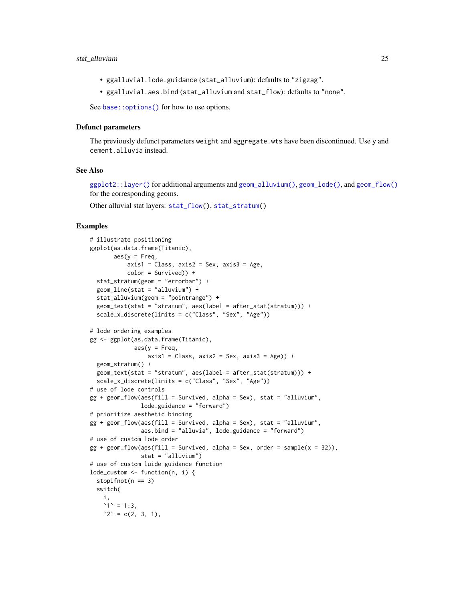# <span id="page-24-0"></span>stat\_alluvium 25

- ggalluvial.lode.guidance (stat\_alluvium): defaults to "zigzag".
- ggalluvial.aes.bind (stat\_alluvium and stat\_flow): defaults to "none".

See base:: options() for how to use options.

#### Defunct parameters

The previously defunct parameters weight and aggregate.wts have been discontinued. Use y and cement.alluvia instead.

# See Also

[ggplot2::layer\(\)](#page-0-0) for additional arguments and [geom\\_alluvium\(\)](#page-4-1), [geom\\_lode\(\)](#page-13-1), and [geom\\_flow\(\)](#page-8-1) for the corresponding geoms.

Other alluvial stat layers: [stat\\_flow\(](#page-26-1)), [stat\\_stratum\(](#page-31-1))

# Examples

```
# illustrate positioning
ggplot(as.data.frame(Titanic),
       \text{aes}(y = \text{Freq},axis1 = Class, axis2 = Sex, axis3 = Age,color = Survived)) +
 stat_stratum(geom = "errorbar") +
 geom_line(stat = "alluvium") +
 stat_alluvium(geom = "pointrange") +
 geom_text(stat = "stratum", aes(label = after_stat(stratum))) +
 scale_x_discrete(limits = c("Class", "Sex", "Age"))
# lode ordering examples
gg <- ggplot(as.data.frame(Titanic),
             aes(y = Freq,axis1 = Class, axis2 = Sex, axis3 = Age) +
 geom_stratum() +
 geom_text(stat = "stratum", aes(label = after_stat(stratum))) +
 scale_x_discrete(limits = c("Class", "Sex", "Age"))
# use of lode controls
gg + geom_flow(aes(fill = Survived, alpha = Sex), stat = "alluvium",
               lode.guidance = "forward")
# prioritize aesthetic binding
gg + geom_flow(aes(fill = Survey, alpha = Sex), stat = "alluvium",aes.bind = "alluvia", lode.guidance = "forward")
# use of custom lode order
gg + geom_flow(aes(fill = Survey, alpha = Sex, order = sample(x = 32)),stat = "alluvium")
# use of custom luide guidance function
lode_custom <- function(n, i) {
 stopifnot(n == 3)switch(
   i,
   1' = 1:3,
   2^{\circ} = c(2, 3, 1),
```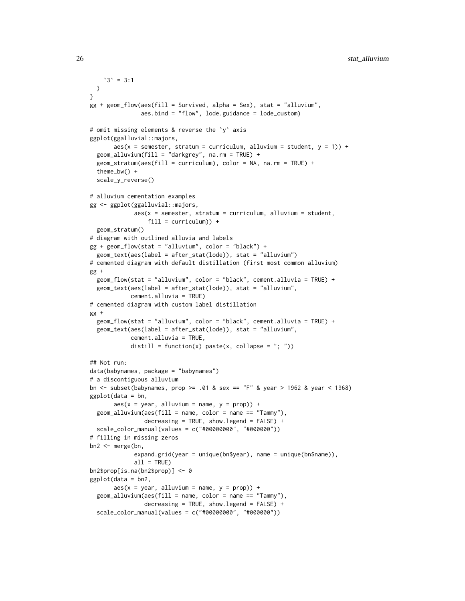```
3' = 3:1\lambda}
gg + geom_flow(aes(fill = Survived, alpha = Sex), stat = "alluvium",
               aes.bind = "flow", lode.guidance = lode_custom)
# omit missing elements & reverse the `y` axis
ggplot(ggalluvial::majors,
      aes(x = semester, stratum = curriculum, alluvium = student, y = 1) +
 geom_alluvium(fill = "darkgrey", na.rm = TRUE) +
 geom_stratum(aes(fill = curriculum), color = NA, na.rm = TRUE) +
 theme_bw() +
 scale_y_reverse()
# alluvium cementation examples
gg <- ggplot(ggalluvial::majors,
             aes(x = semester, stratum = curriculum, alluvium = student,fill = curriculum)) +
 geom_stratum()
# diagram with outlined alluvia and labels
gg + geom_flow(stat = "alluvium", color = "black") +geom_text(aes(label = after_stat(lode)), stat = "alluvium")
# cemented diagram with default distillation (first most common alluvium)
gg +
 geom_flow(stat = "alluvium", color = "black", cement.alluvia = TRUE) +
 geom_text(aes(label = after_stat(lode)), stat = "alluvium",
            cement.alluvia = TRUE)
# cemented diagram with custom label distillation
gg +
 geom_flow(stat = "alluvium", color = "black", cement.alluvia = TRUE) +
 geom_text(aes(label = after_stat(lode)), stat = "alluvium",
            cement.alluvia = TRUE,
            distill = function(x) paste(x, collapse = "; "))
## Not run:
data(babynames, package = "babynames")
# a discontiguous alluvium
bn <- subset(babynames, prop >= .01 & sex == "F" & year > 1962 & year < 1968)
ggplot(data = bn,
      aes(x = year, alluvium = name, y = prop)) +geom\_alluvium(aes(fill = name, color = name = "Tammy"),decreasing = TRUE, show.legend = FALSE) +
 scale_color_manual(values = c("#00000000", "#000000"))
# filling in missing zeros
bn2 <- merge(bn,
             expand.grid(year = unique(bn$year), name = unique(bn$name)),
             all = TRUE)
bn2$prop[is.na(bn2$prop)] <- 0
ggplot(data = bn2,
      aes(x = year, alluvium = name, y = prop)) +geom_alluvium(aes(fill = name, color = name == "Tammy"),
                decreasing = TRUE, show.legend = FALSE) +
  scale_color_manual(values = c("#00000000", "#000000"))
```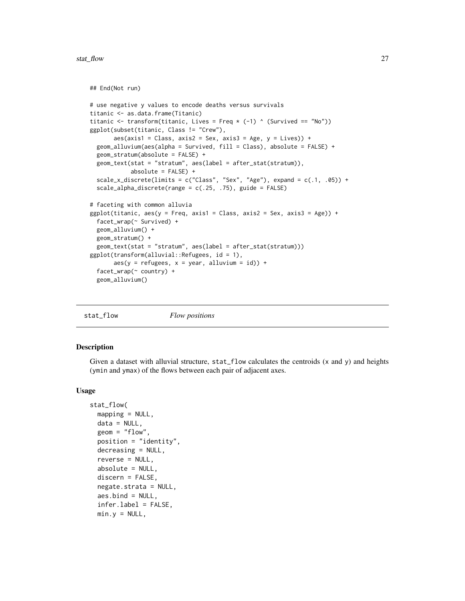#### <span id="page-26-0"></span>stat\_flow 27

```
## End(Not run)
```

```
# use negative y values to encode deaths versus survivals
titanic <- as.data.frame(Titanic)
titanic \le transform(titanic, Lives = Freq \ast (-1) \land (Survived == "No"))
ggplot(subset(titanic, Class != "Crew"),
      aes(axis1 = Class, axis2 = Sex, axis3 = Age, y = Lives)) +geom_alluvium(aes(alpha = Survived, fill = Class), absolute = FALSE) +
 geom_stratum(absolute = FALSE) +
 geom_text(stat = "stratum", aes(label = after_stat(stratum)),
            absolute = FALSE) +
 scale_x_discrete(limits = c("Class", "Sex", "Age"), expand = c(.1, .05)) +scale_alpha_discrete(range = c(.25, .75), guide = FALSE)
# faceting with common alluvia
ggplot(titanic, aes(y = Freq, axis1 = Class, axis2 = Sex, axis3 = Age)) +facet_wrap(~ Survived) +
 geom_alluvium() +
 geom_stratum() +
 geom_text(stat = "stratum", aes(label = after_stat(stratum)))
ggplot(transform(alluvial::Refugees, id = 1),
      aes(y = refugees, x = year, alluvium = id) +
 facet_wrap(~ country) +
 geom_alluvium()
```

```
stat_flow Flow positions
```
# Description

Given a dataset with alluvial structure, stat\_flow calculates the centroids (x and y) and heights (ymin and ymax) of the flows between each pair of adjacent axes.

#### Usage

```
stat_flow(
 mapping = NULL,data = NULL,geom = "flow",
  position = "identity",
  decreasing = NULL,
  reverse = NULL,
  absolute = NULL,discern = FALSE,
  negate.strata = NULL,
  aes.bind = NULL,
  infer.label = FALSE,min.y = NULL,
```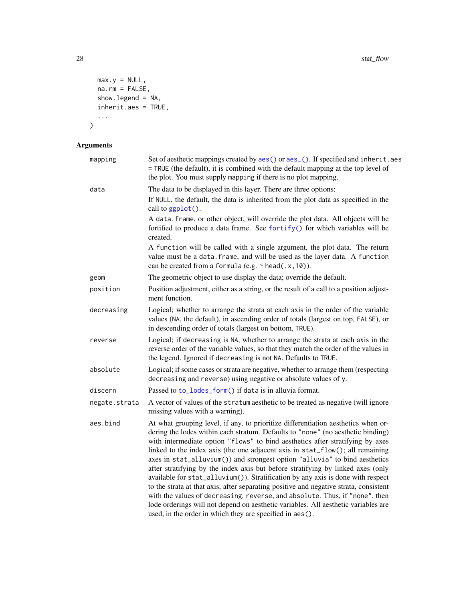```
max.y = NULL,na.rm = FALSE,show.legend = NA,
 inherit.aes = TRUE,
  ...
)
```
# Arguments

| mapping       | Set of aesthetic mappings created by aes() or aes_(). If specified and inherit.aes<br>= TRUE (the default), it is combined with the default mapping at the top level of<br>the plot. You must supply mapping if there is no plot mapping.                                                                                                                                                                                                                                                                                                                                                                                                                                                                                                                                                                                                                                                                            |
|---------------|----------------------------------------------------------------------------------------------------------------------------------------------------------------------------------------------------------------------------------------------------------------------------------------------------------------------------------------------------------------------------------------------------------------------------------------------------------------------------------------------------------------------------------------------------------------------------------------------------------------------------------------------------------------------------------------------------------------------------------------------------------------------------------------------------------------------------------------------------------------------------------------------------------------------|
| data          | The data to be displayed in this layer. There are three options:<br>If NULL, the default, the data is inherited from the plot data as specified in the<br>call to ggplot().                                                                                                                                                                                                                                                                                                                                                                                                                                                                                                                                                                                                                                                                                                                                          |
|               | A data. frame, or other object, will override the plot data. All objects will be<br>fortified to produce a data frame. See fortify() for which variables will be<br>created.                                                                                                                                                                                                                                                                                                                                                                                                                                                                                                                                                                                                                                                                                                                                         |
|               | A function will be called with a single argument, the plot data. The return<br>value must be a data. frame, and will be used as the layer data. A function<br>can be created from a formula (e.g. $\sim$ head(.x, 10)).                                                                                                                                                                                                                                                                                                                                                                                                                                                                                                                                                                                                                                                                                              |
| geom          | The geometric object to use display the data; override the default.                                                                                                                                                                                                                                                                                                                                                                                                                                                                                                                                                                                                                                                                                                                                                                                                                                                  |
| position      | Position adjustment, either as a string, or the result of a call to a position adjust-<br>ment function.                                                                                                                                                                                                                                                                                                                                                                                                                                                                                                                                                                                                                                                                                                                                                                                                             |
| decreasing    | Logical; whether to arrange the strata at each axis in the order of the variable<br>values (NA, the default), in ascending order of totals (largest on top, FALSE), or<br>in descending order of totals (largest on bottom, TRUE).                                                                                                                                                                                                                                                                                                                                                                                                                                                                                                                                                                                                                                                                                   |
| reverse       | Logical; if decreasing is NA, whether to arrange the strata at each axis in the<br>reverse order of the variable values, so that they match the order of the values in<br>the legend. Ignored if decreasing is not NA. Defaults to TRUE.                                                                                                                                                                                                                                                                                                                                                                                                                                                                                                                                                                                                                                                                             |
| absolute      | Logical; if some cases or strata are negative, whether to arrange them (respecting<br>decreasing and reverse) using negative or absolute values of y.                                                                                                                                                                                                                                                                                                                                                                                                                                                                                                                                                                                                                                                                                                                                                                |
| discern       | Passed to to_lodes_form() if data is in alluvia format.                                                                                                                                                                                                                                                                                                                                                                                                                                                                                                                                                                                                                                                                                                                                                                                                                                                              |
| negate.strata | A vector of values of the stratum aesthetic to be treated as negative (will ignore<br>missing values with a warning).                                                                                                                                                                                                                                                                                                                                                                                                                                                                                                                                                                                                                                                                                                                                                                                                |
| aes.bind      | At what grouping level, if any, to prioritize differentiation aesthetics when or-<br>dering the lodes within each stratum. Defaults to "none" (no aesthetic binding)<br>with intermediate option "flows" to bind aesthetics after stratifying by axes<br>linked to the index axis (the one adjacent axis in stat_flow(); all remaining<br>axes in stat_alluvium()) and strongest option "alluvia" to bind aesthetics<br>after stratifying by the index axis but before stratifying by linked axes (only<br>available for stat_alluvium()). Stratification by any axis is done with respect<br>to the strata at that axis, after separating positive and negative strata, consistent<br>with the values of decreasing, reverse, and absolute. Thus, if "none", then<br>lode orderings will not depend on aesthetic variables. All aesthetic variables are<br>used, in the order in which they are specified in aes(). |
|               |                                                                                                                                                                                                                                                                                                                                                                                                                                                                                                                                                                                                                                                                                                                                                                                                                                                                                                                      |

<span id="page-27-0"></span>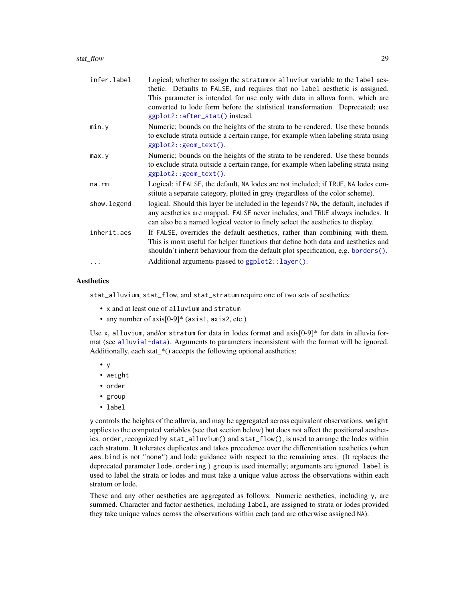#### <span id="page-28-0"></span>stat\_flow 29

| infer.label | Logical; whether to assign the stratum or alluvium variable to the label aes-<br>thetic. Defaults to FALSE, and requires that no label aesthetic is assigned.                                                                                          |
|-------------|--------------------------------------------------------------------------------------------------------------------------------------------------------------------------------------------------------------------------------------------------------|
|             | This parameter is intended for use only with data in alluva form, which are<br>converted to lode form before the statistical transformation. Deprecated; use<br>ggplot2::after_stat() instead.                                                         |
| min.y       | Numeric; bounds on the heights of the strata to be rendered. Use these bounds<br>to exclude strata outside a certain range, for example when labeling strata using<br>$ggplot2::geom\_text()$ .                                                        |
| max. y      | Numeric; bounds on the heights of the strata to be rendered. Use these bounds<br>to exclude strata outside a certain range, for example when labeling strata using<br>$ggplot2::geom\_text()$ .                                                        |
| na.rm       | Logical: if FALSE, the default, NA lodes are not included; if TRUE, NA lodes con-<br>stitute a separate category, plotted in grey (regardless of the color scheme).                                                                                    |
| show.legend | logical. Should this layer be included in the legends? NA, the default, includes if<br>any aesthetics are mapped. FALSE never includes, and TRUE always includes. It<br>can also be a named logical vector to finely select the aesthetics to display. |
| inherit.aes | If FALSE, overrides the default aesthetics, rather than combining with them.<br>This is most useful for helper functions that define both data and aesthetics and<br>shouldn't inherit behaviour from the default plot specification, e.g. borders().  |
| $\cdots$    | Additional arguments passed to ggplot2::layer().                                                                                                                                                                                                       |

# **Aesthetics**

stat\_alluvium, stat\_flow, and stat\_stratum require one of two sets of aesthetics:

- x and at least one of alluvium and stratum
- any number of axis<sup>[0-9]\*</sup> (axis1, axis2, etc.)

Use x, alluvium, and/or stratum for data in lodes format and  $axis[0-9]*$  for data in alluvia format (see [alluvial-data](#page-1-1)). Arguments to parameters inconsistent with the format will be ignored. Additionally, each stat\_\*() accepts the following optional aesthetics:

- y
- weight
- order
- group
- label

y controls the heights of the alluvia, and may be aggregated across equivalent observations. weight applies to the computed variables (see that section below) but does not affect the positional aesthetics. order, recognized by stat\_alluvium() and stat\_flow(), is used to arrange the lodes within each stratum. It tolerates duplicates and takes precedence over the differentiation aesthetics (when aes.bind is not "none") and lode guidance with respect to the remaining axes. (It replaces the deprecated parameter lode.ordering.) group is used internally; arguments are ignored. label is used to label the strata or lodes and must take a unique value across the observations within each stratum or lode.

These and any other aesthetics are aggregated as follows: Numeric aesthetics, including y, are summed. Character and factor aesthetics, including label, are assigned to strata or lodes provided they take unique values across the observations within each (and are otherwise assigned NA).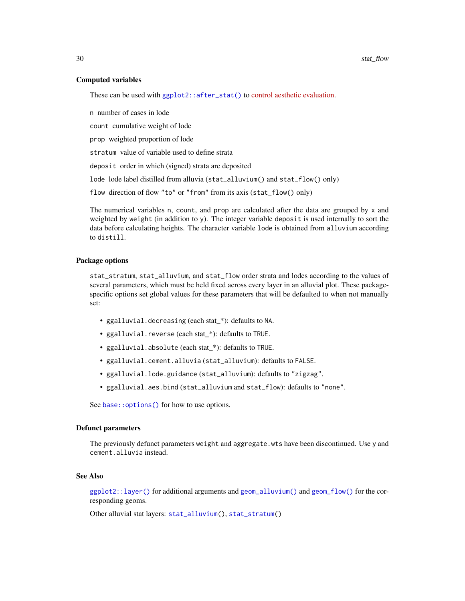# Computed variables

These can be used with [ggplot2::after\\_stat\(\)](#page-0-0) to [control aesthetic evaluation.](https://ggplot2.tidyverse.org/reference/aes_eval.html)

n number of cases in lode

count cumulative weight of lode

prop weighted proportion of lode

stratum value of variable used to define strata

deposit order in which (signed) strata are deposited

lode lode label distilled from alluvia (stat\_alluvium() and stat\_flow() only)

flow direction of flow "to" or "from" from its axis (stat\_flow() only)

The numerical variables n, count, and prop are calculated after the data are grouped by x and weighted by weight (in addition to y). The integer variable deposit is used internally to sort the data before calculating heights. The character variable lode is obtained from alluvium according to distill.

### Package options

stat\_stratum, stat\_alluvium, and stat\_flow order strata and lodes according to the values of several parameters, which must be held fixed across every layer in an alluvial plot. These packagespecific options set global values for these parameters that will be defaulted to when not manually set:

- ggalluvial.decreasing (each stat\_\*): defaults to NA.
- ggalluvial.reverse (each stat\_\*): defaults to TRUE.
- ggalluvial.absolute (each stat\_\*): defaults to TRUE.
- ggalluvial.cement.alluvia (stat\_alluvium): defaults to FALSE.
- ggalluvial.lode.guidance (stat\_alluvium): defaults to "zigzag".
- ggalluvial.aes.bind (stat\_alluvium and stat\_flow): defaults to "none".

See base:: options() for how to use options.

# Defunct parameters

The previously defunct parameters weight and aggregate.wts have been discontinued. Use y and cement.alluvia instead.

# See Also

[ggplot2::layer\(\)](#page-0-0) for additional arguments and [geom\\_alluvium\(\)](#page-4-1) and [geom\\_flow\(\)](#page-8-1) for the corresponding geoms.

Other alluvial stat layers: [stat\\_alluvium\(](#page-20-1)), [stat\\_stratum\(](#page-31-1))

<span id="page-29-0"></span>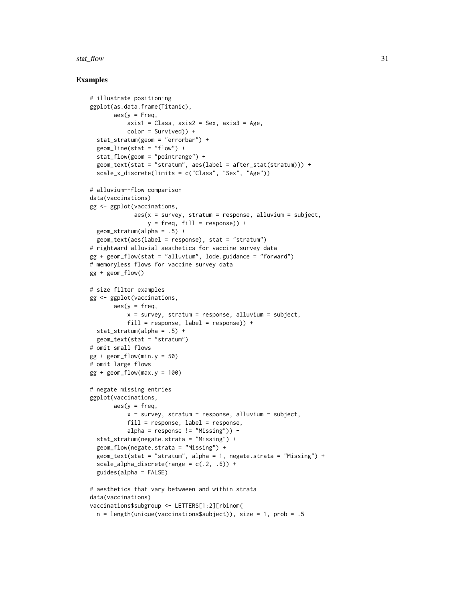#### stat\_flow 31

# Examples

```
# illustrate positioning
ggplot(as.data.frame(Titanic),
       aes(y = Freq,axis1 = Class, axis2 = Sex, axis3 = Age,color = Survived)) +
  stat_stratum(geom = "errorbar") +
  geom_line(stat = "flow") +
  stat_flow(geom = "pointrange") +
  geom_text(stat = "stratum", aes(label = after_stat(stratum))) +
  scale_x_discrete(limits = c("Class", "Sex", "Age"))
# alluvium--flow comparison
data(vaccinations)
gg <- ggplot(vaccinations,
             aes(x = survey, stratum = response, alluvium = subject,y = freq, fill = response) +
  geom_stratum(alpha = .5) +
  geom_text(aes(label = response), stat = "stratum")
# rightward alluvial aesthetics for vaccine survey data
gg + geom_flow(stat = "alluvium", lode.guidance = "forward")
# memoryless flows for vaccine survey data
gg + geom_flow()
# size filter examples
gg <- ggplot(vaccinations,
       \text{aes}(y = \text{freq},x = survey, stratum = response, alluvium = subject,
           fill = response, label = response)) +
  stat_stratum(alpha = .5) +
  geom_text(stat = "stratum")
# omit small flows
gg + geom_flow(min.y = 50)# omit large flows
gg + geom_flow(max.y = 100)# negate missing entries
ggplot(vaccinations,
       aes(y = freq,x = survey, stratum = response, alluvium = subject,
           fill = response, label = response,alpha = response != "Missing")) +
  stat_stratum(negate.strata = "Missing") +
  geom_flow(negate.strata = "Missing") +
  geom_text(stat = "stratum", alpha = 1, negate.strata = "Missing") +
  scale_alpha_discrete(range = c(.2, .6)) +
  guides(alpha = FALSE)
# aesthetics that vary betwween and within strata
data(vaccinations)
vaccinations$subgroup <- LETTERS[1:2][rbinom(
  n = length(unique(vaccinations$subject)), size = 1, prob = .5
```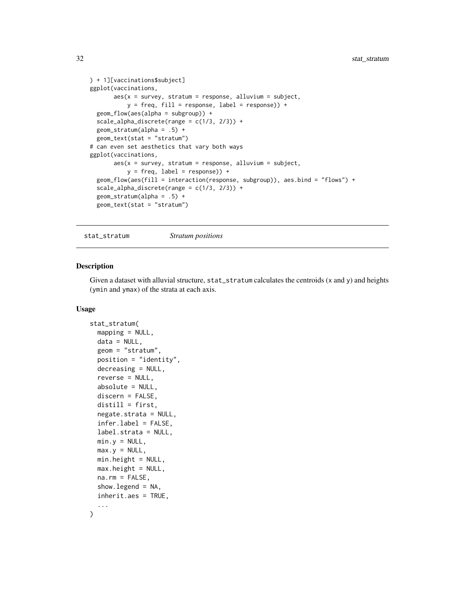```
) + 1][vaccinations$subject]
ggplot(vaccinations,
      aes(x = survey, stratum = response, alluvium = subject,y = freq, fill = response, label = response() +geom_flow(aes(alpha = subgroup)) +
 scale_alpha_discrete(range = c(1/3, 2/3)) +
 geom_stratum(alpha = .5) +
 geom_text(stat = "stratum")
# can even set aesthetics that vary both ways
ggplot(vaccinations,
      aes(x = survey, stratum = response, alluvium = subject,y = freq, label = response) +
 geom_flow(aes(fill = interaction(response, subgroup)), aes.bind = "flows") +
 scale_alpha_discrete(range = c(1/3, 2/3)) +geom_stratum(alpha = .5) +
 geom_text(stat = "stratum")
```
<span id="page-31-1"></span>stat\_stratum *Stratum positions*

### Description

Given a dataset with alluvial structure,  $stat\_stratum$  calculates the centroids  $(x \text{ and } y)$  and heights (ymin and ymax) of the strata at each axis.

# Usage

```
stat_stratum(
  mapping = NULL,
  data = NULL,geom = "stratum",
 position = "identity",
  decreasing = NULL,
  reverse = NULL,
  absolute = NULL,
  discern = FALSE,
  distill = first,
  negate.strata = NULL,
  infer.label = FALSE,
  label.strata = NULL,
  min.y = NULL,max.y = NULL,min.height = NULL,
 max. height = NULL,na.rm = FALSE,
  show. legend = NA,
  inherit.aes = TRUE,
  ...
)
```
<span id="page-31-0"></span>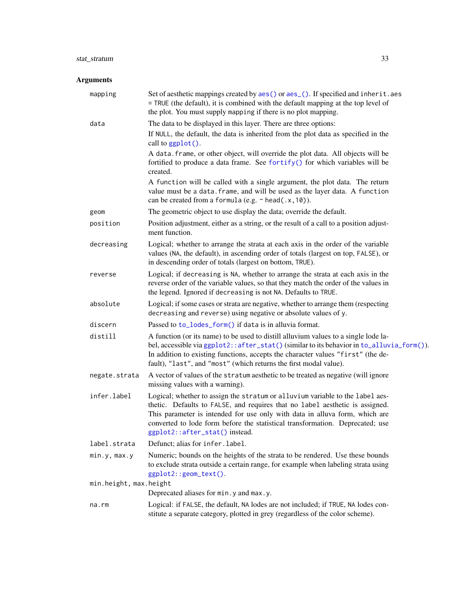# <span id="page-32-0"></span>stat\_stratum 33

# Arguments

| mapping                | Set of aesthetic mappings created by aes() or aes_(). If specified and inherit.aes<br>= TRUE (the default), it is combined with the default mapping at the top level of<br>the plot. You must supply mapping if there is no plot mapping.                                                                                                                       |
|------------------------|-----------------------------------------------------------------------------------------------------------------------------------------------------------------------------------------------------------------------------------------------------------------------------------------------------------------------------------------------------------------|
| data                   | The data to be displayed in this layer. There are three options:<br>If NULL, the default, the data is inherited from the plot data as specified in the<br>call to ggplot().<br>A data. frame, or other object, will override the plot data. All objects will be<br>fortified to produce a data frame. See fortify() for which variables will be<br>created.     |
|                        | A function will be called with a single argument, the plot data. The return<br>value must be a data. frame, and will be used as the layer data. A function<br>can be created from a formula (e.g. $\sim$ head(.x, 10)).                                                                                                                                         |
| geom                   | The geometric object to use display the data; override the default.                                                                                                                                                                                                                                                                                             |
| position               | Position adjustment, either as a string, or the result of a call to a position adjust-<br>ment function.                                                                                                                                                                                                                                                        |
| decreasing             | Logical; whether to arrange the strata at each axis in the order of the variable<br>values (NA, the default), in ascending order of totals (largest on top, FALSE), or<br>in descending order of totals (largest on bottom, TRUE).                                                                                                                              |
| reverse                | Logical; if decreasing is NA, whether to arrange the strata at each axis in the<br>reverse order of the variable values, so that they match the order of the values in<br>the legend. Ignored if decreasing is not NA. Defaults to TRUE.                                                                                                                        |
| absolute               | Logical; if some cases or strata are negative, whether to arrange them (respecting<br>decreasing and reverse) using negative or absolute values of y.                                                                                                                                                                                                           |
| discern                | Passed to to_lodes_form() if data is in alluvia format.                                                                                                                                                                                                                                                                                                         |
| distill                | A function (or its name) to be used to distill alluvium values to a single lode la-<br>bel, accessible via ggplot2:: after_stat() (similar to its behavior in to_alluvia_form()).<br>In addition to existing functions, accepts the character values "first" (the de-<br>fault), "last", and "most" (which returns the first modal value).                      |
| negate.strata          | A vector of values of the stratum aesthetic to be treated as negative (will ignore<br>missing values with a warning).                                                                                                                                                                                                                                           |
| infer.label            | Logical; whether to assign the stratum or alluvium variable to the label aes-<br>thetic. Defaults to FALSE, and requires that no label aesthetic is assigned.<br>This parameter is intended for use only with data in alluva form, which are<br>converted to lode form before the statistical transformation. Deprecated; use<br>ggplot2::after_stat() instead. |
| label.strata           | Defunct; alias for infer.label.                                                                                                                                                                                                                                                                                                                                 |
| min.y, max.y           | Numeric; bounds on the heights of the strata to be rendered. Use these bounds<br>to exclude strata outside a certain range, for example when labeling strata using<br>ggplot2::geom_text().                                                                                                                                                                     |
| min.height, max.height |                                                                                                                                                                                                                                                                                                                                                                 |
|                        | Deprecated aliases for min. y and max. y.                                                                                                                                                                                                                                                                                                                       |
| na.rm                  | Logical: if FALSE, the default, NA lodes are not included; if TRUE, NA lodes con-<br>stitute a separate category, plotted in grey (regardless of the color scheme).                                                                                                                                                                                             |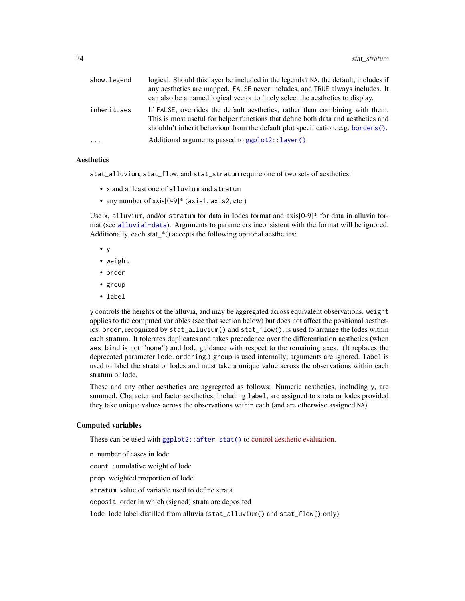<span id="page-33-0"></span>

| show.legend | logical. Should this layer be included in the legends? NA, the default, includes if<br>any aesthetics are mapped. FALSE never includes, and TRUE always includes. It<br>can also be a named logical vector to finely select the aesthetics to display. |
|-------------|--------------------------------------------------------------------------------------------------------------------------------------------------------------------------------------------------------------------------------------------------------|
| inherit.aes | If FALSE, overrides the default aesthetics, rather than combining with them.<br>This is most useful for helper functions that define both data and aesthetics and<br>shouldn't inherit behaviour from the default plot specification, e.g. borders().  |
| $\cdots$    | Additional arguments passed to $ggplot2::layer()$ .                                                                                                                                                                                                    |
|             |                                                                                                                                                                                                                                                        |

#### **Aesthetics**

stat\_alluvium, stat\_flow, and stat\_stratum require one of two sets of aesthetics:

- x and at least one of alluvium and stratum
- any number of axis[0-9]\* (axis1, axis2, etc.)

Use x, alluvium, and/or stratum for data in lodes format and  $axis[0-9]*$  for data in alluvia format (see [alluvial-data](#page-1-1)). Arguments to parameters inconsistent with the format will be ignored. Additionally, each stat\_\*() accepts the following optional aesthetics:

- y
- weight
- order
- group
- label

y controls the heights of the alluvia, and may be aggregated across equivalent observations. weight applies to the computed variables (see that section below) but does not affect the positional aesthetics. order, recognized by stat\_alluvium() and stat\_flow(), is used to arrange the lodes within each stratum. It tolerates duplicates and takes precedence over the differentiation aesthetics (when aes.bind is not "none") and lode guidance with respect to the remaining axes. (It replaces the deprecated parameter lode.ordering.) group is used internally; arguments are ignored. label is used to label the strata or lodes and must take a unique value across the observations within each stratum or lode.

These and any other aesthetics are aggregated as follows: Numeric aesthetics, including y, are summed. Character and factor aesthetics, including label, are assigned to strata or lodes provided they take unique values across the observations within each (and are otherwise assigned NA).

# Computed variables

These can be used with [ggplot2::after\\_stat\(\)](#page-0-0) to [control aesthetic evaluation.](https://ggplot2.tidyverse.org/reference/aes_eval.html)

n number of cases in lode count cumulative weight of lode prop weighted proportion of lode stratum value of variable used to define strata deposit order in which (signed) strata are deposited lode lode label distilled from alluvia (stat\_alluvium() and stat\_flow() only)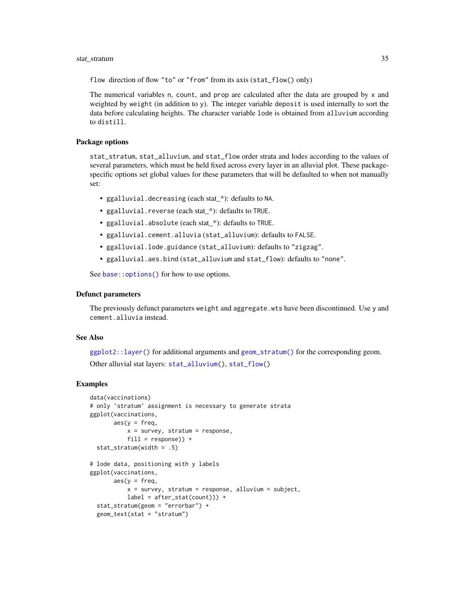# <span id="page-34-0"></span>stat\_stratum 35

flow direction of flow "to" or "from" from its axis (stat\_flow() only)

The numerical variables n, count, and prop are calculated after the data are grouped by x and weighted by weight (in addition to y). The integer variable deposit is used internally to sort the data before calculating heights. The character variable lode is obtained from alluvium according to distill.

# Package options

stat\_stratum, stat\_alluvium, and stat\_flow order strata and lodes according to the values of several parameters, which must be held fixed across every layer in an alluvial plot. These packagespecific options set global values for these parameters that will be defaulted to when not manually set:

- ggalluvial.decreasing (each stat\_\*): defaults to NA.
- ggalluvial.reverse (each stat\_\*): defaults to TRUE.
- ggalluvial.absolute (each stat\_\*): defaults to TRUE.
- ggalluvial.cement.alluvia (stat\_alluvium): defaults to FALSE.
- ggalluvial.lode.guidance (stat\_alluvium): defaults to "zigzag".
- ggalluvial.aes.bind (stat\_alluvium and stat\_flow): defaults to "none".

See base:: options() for how to use options.

#### Defunct parameters

The previously defunct parameters weight and aggregate.wts have been discontinued. Use y and cement.alluvia instead.

# See Also

 $ggplot2$ :: $laver()$  for additional arguments and  $geom\_stratum()$  for the corresponding geom. Other alluvial stat layers: [stat\\_alluvium\(](#page-20-1)), [stat\\_flow\(](#page-26-1))

### Examples

```
data(vaccinations)
# only `stratum` assignment is necessary to generate strata
ggplot(vaccinations,
       \text{aes}(y = \text{freq},x = survey, stratum = response,
           fill = response) +
 stat_stratum(width = .5)
# lode data, positioning with y labels
ggplot(vaccinations,
       aes(y = freq,x = survey, stratum = response, alluvium = subject,
           label = after_stat(count)) +stat_stratum(geom = "errorbar") +
 geom_text(stat = "stratum")
```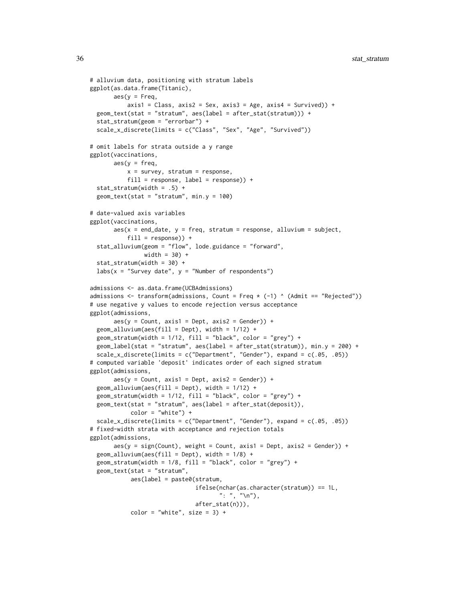```
# alluvium data, positioning with stratum labels
ggplot(as.data.frame(Titanic),
       aes(y = Freq,axis1 = Class, axis2 = Sex, axis3 = Age, axis4 = Survey) +geom_text(stat = "stratum", aes(label = after_stat(stratum))) +
 stat_stratum(geom = "errorbar") +
 scale_x_discrete(limits = c("Class", "Sex", "Age", "Survived"))
# omit labels for strata outside a y range
ggplot(vaccinations,
       aes(y = freq,x = survey, stratum = response,
           fill = response, label = response() +stat_stratum(width = .5) +
 geom\_text(stat = "stratum", min.y = 100)# date-valued axis variables
ggplot(vaccinations,
       aes(x = end_data, y = freq, stratum = response, alluvium = subject,fill = response) +
 stat_alluvium(geom = "flow", lode.guidance = "forward",
                width = 30) +
 stat_stratum(width = 30) +
 labs(x = "Survey date", y = "Number of respondents")admissions <- as.data.frame(UCBAdmissions)
admissions \le transform(admissions, Count = Freq \star (-1) \wedge (Admit == "Rejected"))
# use negative y values to encode rejection versus acceptance
ggplot(admissions,
       aes(y = Count, axis1 = Dept, axis2 = Gender)) +geom\_alluvium(aes(fill = Dept), width = 1/12) +geom_stratum(width = 1/12, fill = "black", color = "grey") +
 geom_label(stat = "stratum", aes(label = after_stat(stratum)), min.y = 200) +
 scale_x_discrete(limits = c("Department", "Gender"), expand = c(.05, .05))# computed variable 'deposit' indicates order of each signed stratum
ggplot(admissions,
       \text{aes}(y = \text{Count}, \text{axis1} = \text{Depth}, \text{axis2} = \text{Gender}) +
 geom\_alluvium(aes(fill = Dept), width = 1/12) +geom_stratum(width = 1/12, fill = "black", color = "grey") +
 geom_text(stat = "stratum", aes(label = after_stat(deposit)),
            color = "white") +scale_x_discrete(limits = c("Department", "Gender"), expand = c(.05, .05))
# fixed-width strata with acceptance and rejection totals
ggplot(admissions,
       aes(y = sign(Count), weight = Count, axis1 = Dept, axis2 = Gender)) +geom\_alluvium(aes(fill = Dept), width = 1/8) +geom_stratum(width = 1/8, fill = "black", color = "grey") +
 geom_text(stat = "stratum",
            aes(label = paste0(stratum,
                               ifelse(nchar(as.character(stratum)) == 1L,
                                      ": ", "\n"),
                               after_stat(n))),
            color = "white", size = 3) +
```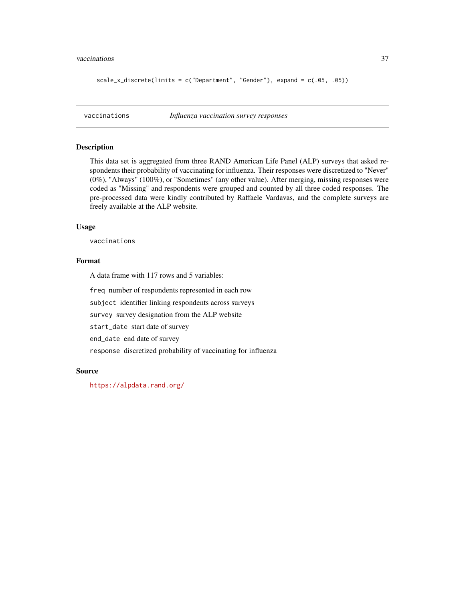#### <span id="page-36-0"></span>vaccinations 37

```
scale_x_discrete(limits = c("Department", "Gender"), expand = c(.05, .05))
```
vaccinations *Influenza vaccination survey responses*

# Description

This data set is aggregated from three RAND American Life Panel (ALP) surveys that asked respondents their probability of vaccinating for influenza. Their responses were discretized to "Never" (0%), "Always" (100%), or "Sometimes" (any other value). After merging, missing responses were coded as "Missing" and respondents were grouped and counted by all three coded responses. The pre-processed data were kindly contributed by Raffaele Vardavas, and the complete surveys are freely available at the ALP website.

#### Usage

vaccinations

# Format

A data frame with 117 rows and 5 variables:

freq number of respondents represented in each row

subject identifier linking respondents across surveys

survey survey designation from the ALP website

start\_date start date of survey

end\_date end date of survey

response discretized probability of vaccinating for influenza

# Source

<https://alpdata.rand.org/>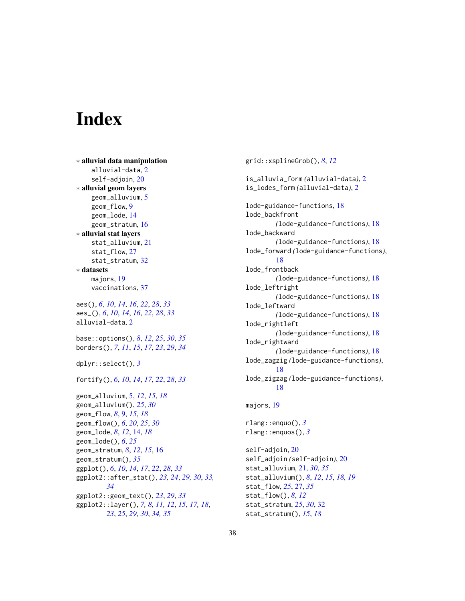# <span id="page-37-0"></span>Index

```
∗ alluvial data manipulation
    alluvial-data, 2
    self-adjoin, 20
∗ alluvial geom layers
    geom_alluvium, 5
    geom_flow, 9
    geom_lode, 14
    geom_stratum, 16
∗ alluvial stat layers
    stat_alluvium, 21
    stat_flow, 27
    stat_stratum, 32
∗ datasets
    majors, 19
    vaccinations, 37
aes(), 6, 10, 14, 16, 22, 28, 33
aes_(), 6, 10, 14, 16, 22, 28, 33
alluvial-data, 2
base::options(), 8, 12, 25, 30, 35
borders(), 7, 11, 15, 17, 23, 29, 34
dplyr::select(), 3
fortify(), 6, 10, 14, 17, 22, 28, 33
geom_alluvium, 5, 12, 15, 18
geom_alluvium(), 25, 30
geom_flow, 8, 9, 15, 18
geom_flow(), 6, 20, 25, 30
geom_lode, 8, 12, 14, 18
geom_lode(), 6, 25
geom_stratum, 8, 12, 15, 16
geom_stratum(), 35
ggplot(), 6, 10, 14, 17, 22, 28, 33
ggplot2::after_stat(), 23, 24, 29, 30, 33,
         34
ggplot2::geom_text(), 23, 29, 33
ggplot2::layer(), 7, 8, 11, 12, 15, 17, 18,
         23, 25, 29, 30, 34, 35
```
grid::xsplineGrob(), *[8](#page-7-0)*, *[12](#page-11-0)* is\_alluvia\_form *(*alluvial-data*)*, [2](#page-1-0) is\_lodes\_form *(*alluvial-data*)*, [2](#page-1-0) lode-guidance-functions, [18](#page-17-0) lode\_backfront *(*lode-guidance-functions*)*, [18](#page-17-0) lode\_backward *(*lode-guidance-functions*)*, [18](#page-17-0) lode\_forward *(*lode-guidance-functions*)*, [18](#page-17-0) lode\_frontback *(*lode-guidance-functions*)*, [18](#page-17-0) lode\_leftright *(*lode-guidance-functions*)*, [18](#page-17-0) lode\_leftward *(*lode-guidance-functions*)*, [18](#page-17-0) lode\_rightleft *(*lode-guidance-functions*)*, [18](#page-17-0) lode\_rightward *(*lode-guidance-functions*)*, [18](#page-17-0) lode\_zagzig *(*lode-guidance-functions*)*, [18](#page-17-0) lode\_zigzag *(*lode-guidance-functions*)*, [18](#page-17-0) majors, [19](#page-18-0) rlang::enquo(), *[3](#page-2-0)* rlang::enquos(), *[3](#page-2-0)* self-adjoin, [20](#page-19-0) self\_adjoin *(*self-adjoin*)*, [20](#page-19-0) stat\_alluvium, [21,](#page-20-0) *[30](#page-29-0)*, *[35](#page-34-0)*

stat\_alluvium(), *[8](#page-7-0)*, *[12](#page-11-0)*, *[15](#page-14-0)*, *[18,](#page-17-0) [19](#page-18-0)*

stat\_flow, *[25](#page-24-0)*, [27,](#page-26-0) *[35](#page-34-0)* stat\_flow(), *[8](#page-7-0)*, *[12](#page-11-0)* stat\_stratum, *[25](#page-24-0)*, *[30](#page-29-0)*, [32](#page-31-0) stat\_stratum(), *[15](#page-14-0)*, *[18](#page-17-0)*